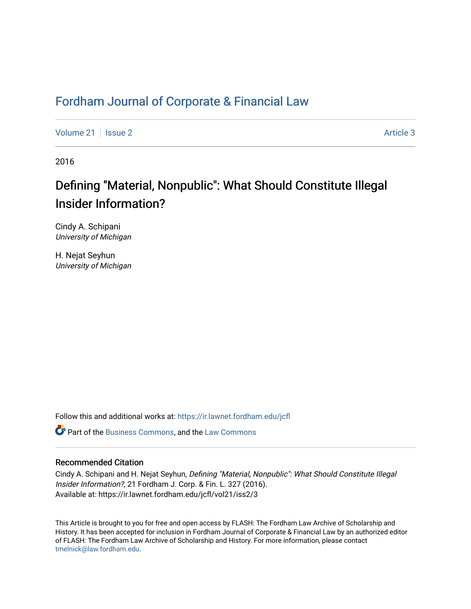# [Fordham Journal of Corporate & Financial Law](https://ir.lawnet.fordham.edu/jcfl)

[Volume 21](https://ir.lawnet.fordham.edu/jcfl/vol21) | [Issue 2](https://ir.lawnet.fordham.edu/jcfl/vol21/iss2) Article 3

2016

# Defining "Material, Nonpublic": What Should Constitute Illegal Insider Information?

Cindy A. Schipani University of Michigan

H. Nejat Seyhun University of Michigan

Follow this and additional works at: [https://ir.lawnet.fordham.edu/jcfl](https://ir.lawnet.fordham.edu/jcfl?utm_source=ir.lawnet.fordham.edu%2Fjcfl%2Fvol21%2Fiss2%2F3&utm_medium=PDF&utm_campaign=PDFCoverPages) 

**P** Part of the [Business Commons](http://network.bepress.com/hgg/discipline/622?utm_source=ir.lawnet.fordham.edu%2Fjcfl%2Fvol21%2Fiss2%2F3&utm_medium=PDF&utm_campaign=PDFCoverPages), and the [Law Commons](http://network.bepress.com/hgg/discipline/578?utm_source=ir.lawnet.fordham.edu%2Fjcfl%2Fvol21%2Fiss2%2F3&utm_medium=PDF&utm_campaign=PDFCoverPages)

# Recommended Citation

Cindy A. Schipani and H. Nejat Seyhun, Defining "Material, Nonpublic": What Should Constitute Illegal Insider Information?, 21 Fordham J. Corp. & Fin. L. 327 (2016). Available at: https://ir.lawnet.fordham.edu/jcfl/vol21/iss2/3

This Article is brought to you for free and open access by FLASH: The Fordham Law Archive of Scholarship and History. It has been accepted for inclusion in Fordham Journal of Corporate & Financial Law by an authorized editor of FLASH: The Fordham Law Archive of Scholarship and History. For more information, please contact [tmelnick@law.fordham.edu](mailto:tmelnick@law.fordham.edu).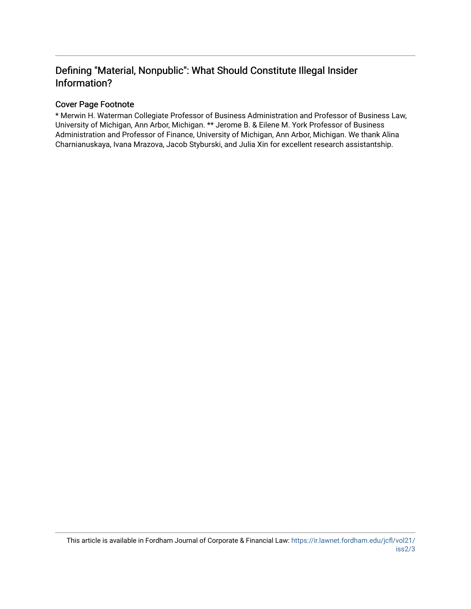# Defining "Material, Nonpublic": What Should Constitute Illegal Insider Information?

# Cover Page Footnote

\* Merwin H. Waterman Collegiate Professor of Business Administration and Professor of Business Law, University of Michigan, Ann Arbor, Michigan. \*\* Jerome B. & Eilene M. York Professor of Business Administration and Professor of Finance, University of Michigan, Ann Arbor, Michigan. We thank Alina Charnianuskaya, Ivana Mrazova, Jacob Styburski, and Julia Xin for excellent research assistantship.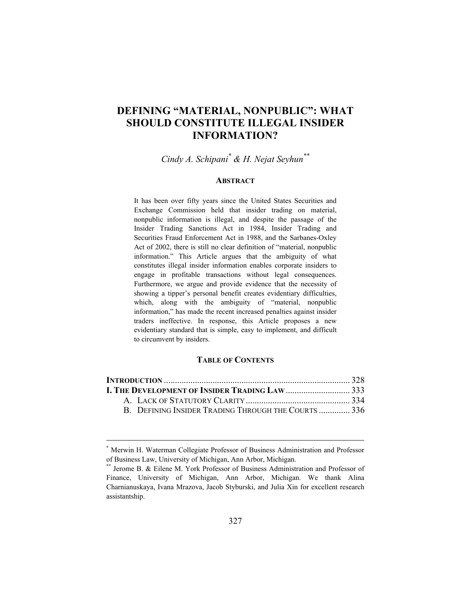# **DEFINING "MATERIAL, NONPUBLIC": WHAT SHOULD CONSTITUTE ILLEGAL INSIDER INFORMATION?**

*Cindy A. Schipani\* & H. Nejat Seyhun\*\**

#### **ABSTRACT**

It has been over fifty years since the United States Securities and Exchange Commission held that insider trading on material, nonpublic information is illegal, and despite the passage of the Insider Trading Sanctions Act in 1984, Insider Trading and Securities Fraud Enforcement Act in 1988, and the Sarbanes-Oxley Act of 2002, there is still no clear definition of "material, nonpublic information." This Article argues that the ambiguity of what constitutes illegal insider information enables corporate insiders to engage in profitable transactions without legal consequences. Furthermore, we argue and provide evidence that the necessity of showing a tipper's personal benefit creates evidentiary difficulties, which, along with the ambiguity of "material, nonpublic information," has made the recent increased penalties against insider traders ineffective. In response, this Article proposes a new evidentiary standard that is simple, easy to implement, and difficult to circumvent by insiders.

#### **TABLE OF CONTENTS**

| I. THE DEVELOPMENT OF INSIDER TRADING LAW333      |  |
|---------------------------------------------------|--|
|                                                   |  |
| B DEFINING INSIDER TRADING THROUGH THE COURTS 336 |  |

<sup>\*</sup> Merwin H. Waterman Collegiate Professor of Business Administration and Professor of Business Law, University of Michigan, Ann Arbor, Michigan. \*\* Jerome B. & Eilene M. York Professor of Business Administration and Professor of

Finance, University of Michigan, Ann Arbor, Michigan. We thank Alina Charnianuskaya, Ivana Mrazova, Jacob Styburski, and Julia Xin for excellent research assistantship.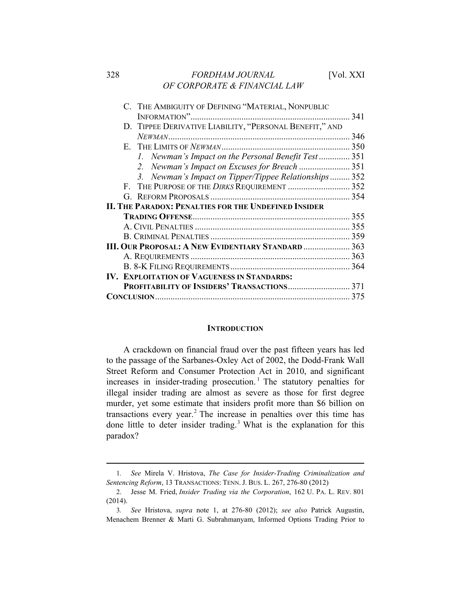# 328 *FORDHAM JOURNAL* [Vol. XXI *OF CORPORATE & FINANCIAL LAW*

| C. THE AMBIGUITY OF DEFINING "MATERIAL, NONPUBLIC         |     |
|-----------------------------------------------------------|-----|
|                                                           | 341 |
| D. TIPPEE DERIVATIVE LIABILITY, "PERSONAL BENEFIT," AND   |     |
|                                                           | 346 |
|                                                           | 350 |
| 1. Newman's Impact on the Personal Benefit Test           | 351 |
| 2.                                                        |     |
| 3. Newman's Impact on Tipper/Tippee Relationships 352     |     |
| THE PURPOSE OF THE DIRKS REQUIREMENT  352<br>$F_{\cdot}$  |     |
|                                                           |     |
| II. THE PARADOX: PENALTIES FOR THE UNDEFINED INSIDER      |     |
|                                                           | 355 |
|                                                           |     |
|                                                           |     |
| <b>III. Our Proposal: A New Evidentiary Standard  363</b> |     |
|                                                           |     |
|                                                           |     |
| <b>IV. EXPLOITATION OF VAGUENESS IN STANDARDS:</b>        |     |
|                                                           |     |
|                                                           |     |
|                                                           |     |

#### **INTRODUCTION**

A crackdown on financial fraud over the past fifteen years has led to the passage of the Sarbanes-Oxley Act of 2002, the Dodd-Frank Wall Street Reform and Consumer Protection Act in 2010, and significant increases in insider-trading prosecution.<sup>1</sup> The statutory penalties for illegal insider trading are almost as severe as those for first degree murder, yet some estimate that insiders profit more than \$6 billion on transactions every year.<sup>2</sup> The increase in penalties over this time has done little to deter insider trading.<sup>3</sup> What is the explanation for this paradox?

<sup>1</sup>*. See* Mirela V. Hristova, *The Case for Insider-Trading Criminalization and Sentencing Reform*, 13 TRANSACTIONS: TENN. J. BUS. L. 267, 276-80 (2012)

<sup>2.</sup> Jesse M. Fried, *Insider Trading via the Corporation*, 162 U. PA. L. REV. 801 (2014).

<sup>3</sup>*. See* Hristova, *supra* note 1, at 276-80 (2012); *see also* Patrick Augustin, Menachem Brenner & Marti G. Subrahmanyam, Informed Options Trading Prior to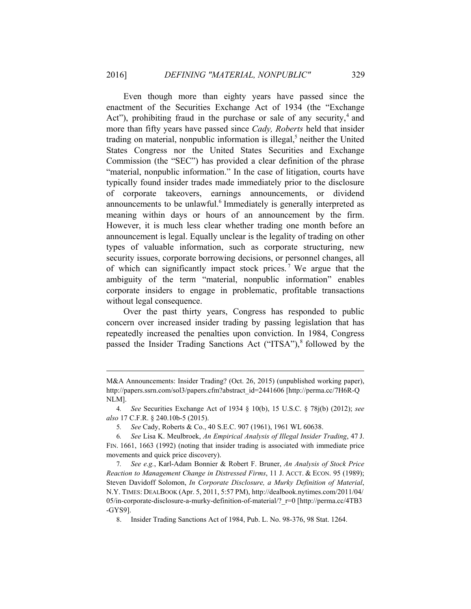Even though more than eighty years have passed since the enactment of the Securities Exchange Act of 1934 (the "Exchange Act"), prohibiting fraud in the purchase or sale of any security,<sup>4</sup> and more than fifty years have passed since *Cady, Roberts* held that insider trading on material, nonpublic information is illegal,<sup>5</sup> neither the United States Congress nor the United States Securities and Exchange Commission (the "SEC") has provided a clear definition of the phrase "material, nonpublic information." In the case of litigation, courts have typically found insider trades made immediately prior to the disclosure of corporate takeovers, earnings announcements, or dividend announcements to be unlawful.<sup>6</sup> Immediately is generally interpreted as meaning within days or hours of an announcement by the firm. However, it is much less clear whether trading one month before an announcement is legal. Equally unclear is the legality of trading on other types of valuable information, such as corporate structuring, new security issues, corporate borrowing decisions, or personnel changes, all of which can significantly impact stock prices.<sup>7</sup> We argue that the ambiguity of the term "material, nonpublic information" enables corporate insiders to engage in problematic, profitable transactions without legal consequence.

Over the past thirty years, Congress has responded to public concern over increased insider trading by passing legislation that has repeatedly increased the penalties upon conviction. In 1984, Congress passed the Insider Trading Sanctions Act ("ITSA"),<sup>8</sup> followed by the

M&A Announcements: Insider Trading? (Oct. 26, 2015) (unpublished working paper), http://papers.ssrn.com/sol3/papers.cfm?abstract\_id=2441606 [http://perma.cc/7H6R-Q NLM].

<sup>4</sup>*. See* Securities Exchange Act of 1934 § 10(b), 15 U.S.C. § 78j(b) (2012); *see also* 17 C.F.R. § 240.10b-5 (2015).

<sup>5</sup>*. See* Cady, Roberts & Co., 40 S.E.C. 907 (1961), 1961 WL 60638.

<sup>6</sup>*. See* Lisa K. Meulbroek, *An Empirical Analysis of Illegal Insider Trading*, 47 J. FIN. 1661, 1663 (1992) (noting that insider trading is associated with immediate price movements and quick price discovery).

<sup>7</sup>*. See e.g.*, Karl-Adam Bonnier & Robert F. Bruner, *An Analysis of Stock Price Reaction to Management Change in Distressed Firms*, 11 J. ACCT. & ECON. 95 (1989); Steven Davidoff Solomon, *In Corporate Disclosure, a Murky Definition of Material*, N.Y. TIMES: DEALBOOK (Apr. 5, 2011, 5:57 PM), http://dealbook.nytimes.com/2011/04/ 05/in-corporate-disclosure-a-murky-definition-of-material/?\_r=0 [http://perma.cc/4TB3 -GYS9].

<sup>8.</sup> Insider Trading Sanctions Act of 1984, Pub. L. No. 98-376, 98 Stat. 1264.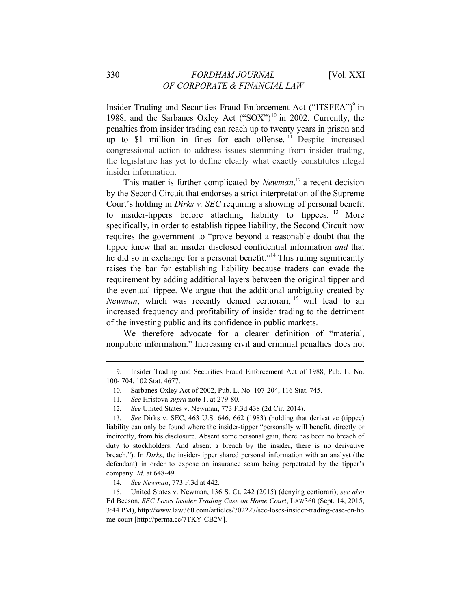Insider Trading and Securities Fraud Enforcement Act ("ITSFEA")<sup>9</sup> in 1988, and the Sarbanes Oxley Act ("SOX")<sup>10</sup> in 2002. Currently, the penalties from insider trading can reach up to twenty years in prison and up to  $$1$  million in fines for each offense.<sup>11</sup> Despite increased congressional action to address issues stemming from insider trading, the legislature has yet to define clearly what exactly constitutes illegal insider information.

This matter is further complicated by *Newman*, <sup>12</sup> a recent decision by the Second Circuit that endorses a strict interpretation of the Supreme Court's holding in *Dirks v. SEC* requiring a showing of personal benefit to insider-tippers before attaching liability to tippees.  $^{13}$  More specifically, in order to establish tippee liability, the Second Circuit now requires the government to "prove beyond a reasonable doubt that the tippee knew that an insider disclosed confidential information *and* that he did so in exchange for a personal benefit."<sup>14</sup> This ruling significantly raises the bar for establishing liability because traders can evade the requirement by adding additional layers between the original tipper and the eventual tippee. We argue that the additional ambiguity created by *Newman*, which was recently denied certiorari, 15 will lead to an increased frequency and profitability of insider trading to the detriment of the investing public and its confidence in public markets.

We therefore advocate for a clearer definition of "material, nonpublic information." Increasing civil and criminal penalties does not

<sup>9.</sup> Insider Trading and Securities Fraud Enforcement Act of 1988, Pub. L. No. 100- 704, 102 Stat. 4677.

<sup>10.</sup> Sarbanes-Oxley Act of 2002, Pub. L. No. 107-204, 116 Stat. 745.

<sup>11</sup>*. See* Hristova *supra* note 1, at 279-80.

<sup>12</sup>*. See* United States v. Newman, 773 F.3d 438 (2d Cir. 2014).

<sup>13</sup>*. See* Dirks v. SEC, 463 U.S. 646, 662 (1983) (holding that derivative (tippee) liability can only be found where the insider-tipper "personally will benefit, directly or indirectly, from his disclosure. Absent some personal gain, there has been no breach of duty to stockholders. And absent a breach by the insider, there is no derivative breach."). In *Dirks*, the insider-tipper shared personal information with an analyst (the defendant) in order to expose an insurance scam being perpetrated by the tipper's company. *Id.* at 648-49.

<sup>14</sup>*. See Newman*, 773 F.3d at 442.

<sup>15.</sup> United States v. Newman, 136 S. Ct. 242 (2015) (denying certiorari); *see also*  Ed Beeson, *SEC Loses Insider Trading Case on Home Court*, LAW360 (Sept. 14, 2015, 3:44 PM), http://www.law360.com/articles/702227/sec-loses-insider-trading-case-on-ho me-court [http://perma.cc/7TKY-CB2V].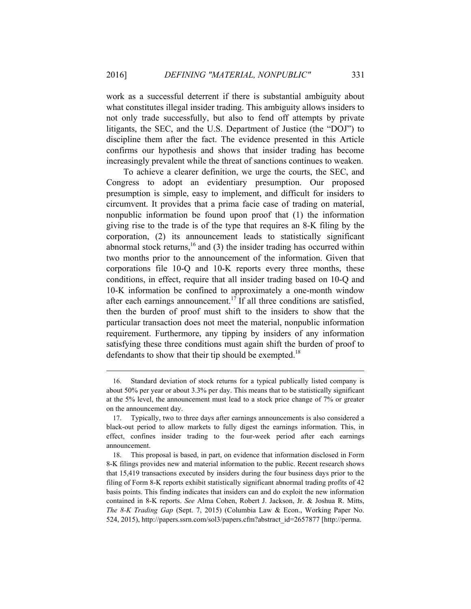work as a successful deterrent if there is substantial ambiguity about what constitutes illegal insider trading. This ambiguity allows insiders to not only trade successfully, but also to fend off attempts by private litigants, the SEC, and the U.S. Department of Justice (the "DOJ") to discipline them after the fact. The evidence presented in this Article confirms our hypothesis and shows that insider trading has become increasingly prevalent while the threat of sanctions continues to weaken.

To achieve a clearer definition, we urge the courts, the SEC, and Congress to adopt an evidentiary presumption. Our proposed presumption is simple, easy to implement, and difficult for insiders to circumvent. It provides that a prima facie case of trading on material, nonpublic information be found upon proof that (1) the information giving rise to the trade is of the type that requires an 8-K filing by the corporation, (2) its announcement leads to statistically significant abnormal stock returns,<sup>16</sup> and (3) the insider trading has occurred within two months prior to the announcement of the information. Given that corporations file 10-Q and 10-K reports every three months, these conditions, in effect, require that all insider trading based on 10-Q and 10-K information be confined to approximately a one-month window after each earnings announcement.<sup>17</sup> If all three conditions are satisfied, then the burden of proof must shift to the insiders to show that the particular transaction does not meet the material, nonpublic information requirement. Furthermore, any tipping by insiders of any information satisfying these three conditions must again shift the burden of proof to defendants to show that their tip should be exempted.<sup>18</sup>

<sup>16.</sup> Standard deviation of stock returns for a typical publically listed company is about 50% per year or about 3.3% per day. This means that to be statistically significant at the 5% level, the announcement must lead to a stock price change of 7% or greater on the announcement day.

<sup>17.</sup> Typically, two to three days after earnings announcements is also considered a black-out period to allow markets to fully digest the earnings information. This, in effect, confines insider trading to the four-week period after each earnings announcement.

<sup>18.</sup> This proposal is based, in part, on evidence that information disclosed in Form 8-K filings provides new and material information to the public. Recent research shows that 15,419 transactions executed by insiders during the four business days prior to the filing of Form 8-K reports exhibit statistically significant abnormal trading profits of 42 basis points. This finding indicates that insiders can and do exploit the new information contained in 8-K reports. *See* Alma Cohen, Robert J. Jackson, Jr. & Joshua R. Mitts, *The 8-K Trading Gap* (Sept. 7, 2015) (Columbia Law & Econ., Working Paper No. 524, 2015), http://papers.ssrn.com/sol3/papers.cfm?abstract\_id=2657877 [http://perma.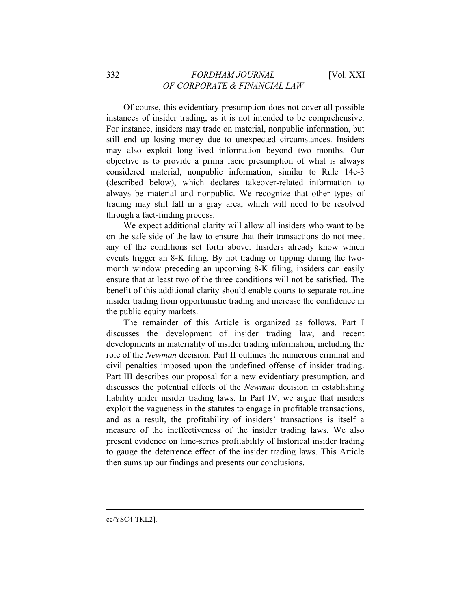Of course, this evidentiary presumption does not cover all possible instances of insider trading, as it is not intended to be comprehensive. For instance, insiders may trade on material, nonpublic information, but still end up losing money due to unexpected circumstances. Insiders may also exploit long-lived information beyond two months. Our objective is to provide a prima facie presumption of what is always considered material, nonpublic information, similar to Rule 14e-3 (described below), which declares takeover-related information to always be material and nonpublic. We recognize that other types of trading may still fall in a gray area, which will need to be resolved through a fact-finding process.

We expect additional clarity will allow all insiders who want to be on the safe side of the law to ensure that their transactions do not meet any of the conditions set forth above. Insiders already know which events trigger an 8-K filing. By not trading or tipping during the twomonth window preceding an upcoming 8-K filing, insiders can easily ensure that at least two of the three conditions will not be satisfied. The benefit of this additional clarity should enable courts to separate routine insider trading from opportunistic trading and increase the confidence in the public equity markets.

The remainder of this Article is organized as follows. Part I discusses the development of insider trading law, and recent developments in materiality of insider trading information, including the role of the *Newman* decision. Part II outlines the numerous criminal and civil penalties imposed upon the undefined offense of insider trading. Part III describes our proposal for a new evidentiary presumption, and discusses the potential effects of the *Newman* decision in establishing liability under insider trading laws. In Part IV, we argue that insiders exploit the vagueness in the statutes to engage in profitable transactions, and as a result, the profitability of insiders' transactions is itself a measure of the ineffectiveness of the insider trading laws. We also present evidence on time-series profitability of historical insider trading to gauge the deterrence effect of the insider trading laws. This Article then sums up our findings and presents our conclusions.

cc/YSC4-TKL2].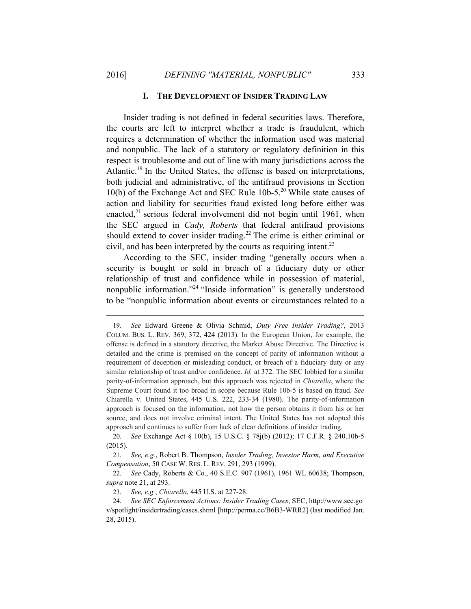#### **I. THE DEVELOPMENT OF INSIDER TRADING LAW**

Insider trading is not defined in federal securities laws. Therefore, the courts are left to interpret whether a trade is fraudulent, which requires a determination of whether the information used was material and nonpublic. The lack of a statutory or regulatory definition in this respect is troublesome and out of line with many jurisdictions across the Atlantic.<sup>19</sup> In the United States, the offense is based on interpretations, both judicial and administrative, of the antifraud provisions in Section 10(b) of the Exchange Act and SEC Rule  $10b-5$ <sup>20</sup> While state causes of action and liability for securities fraud existed long before either was enacted, $^{21}$  serious federal involvement did not begin until 1961, when the SEC argued in *Cady, Roberts* that federal antifraud provisions should extend to cover insider trading.<sup>22</sup> The crime is either criminal or civil, and has been interpreted by the courts as requiring intent.<sup>23</sup>

According to the SEC, insider trading "generally occurs when a security is bought or sold in breach of a fiduciary duty or other relationship of trust and confidence while in possession of material, nonpublic information."24 "Inside information" is generally understood to be "nonpublic information about events or circumstances related to a

<sup>19</sup>*. See* Edward Greene & Olivia Schmid, *Duty Free Insider Trading?*, 2013 COLUM. BUS. L. REV. 369, 372, 424 (2013). In the European Union, for example, the offense is defined in a statutory directive, the Market Abuse Directive. The Directive is detailed and the crime is premised on the concept of parity of information without a requirement of deception or misleading conduct, or breach of a fiduciary duty or any similar relationship of trust and/or confidence. *Id.* at 372. The SEC lobbied for a similar parity-of-information approach, but this approach was rejected in *Chiarella*, where the Supreme Court found it too broad in scope because Rule 10b-5 is based on fraud. *See*  Chiarella v. United States, 445 U.S. 222, 233-34 (1980). The parity-of-information approach is focused on the information, not how the person obtains it from his or her source, and does not involve criminal intent. The United States has not adopted this approach and continues to suffer from lack of clear definitions of insider trading.

<sup>20</sup>*. See* Exchange Act § 10(b), 15 U.S.C. § 78j(b) (2012); 17 C.F.R. § 240.10b-5 (2015).

<sup>21</sup>*. See, e.g.*, Robert B. Thompson, *Insider Trading, Investor Harm, and Executive Compensation*, 50 CASE W. RES. L. REV. 291, 293 (1999).

<sup>22</sup>*. See* Cady, Roberts & Co., 40 S.E.C. 907 (1961), 1961 WL 60638; Thompson, *supra* note 21, at 293.

<sup>23</sup>*. See, e.g.*, *Chiarella*, 445 U.S. at 227-28.

<sup>24</sup>*. See SEC Enforcement Actions: Insider Trading Cases*, SEC, http://www.sec.go v/spotlight/insidertrading/cases.shtml [http://perma.cc/B6B3-WRR2] (last modified Jan. 28, 2015).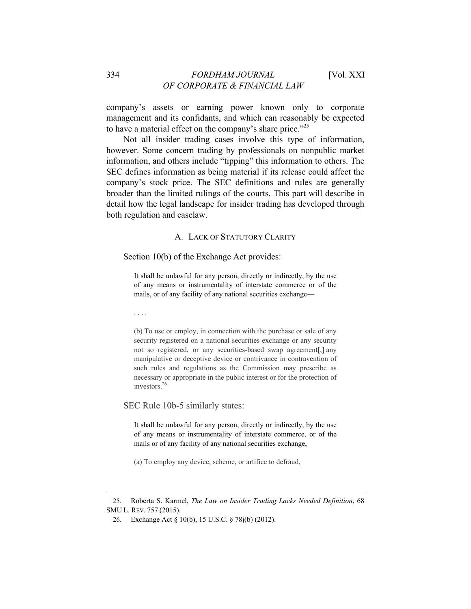# 334 *FORDHAM JOURNAL* [Vol. XXI *OF CORPORATE & FINANCIAL LAW*

company's assets or earning power known only to corporate management and its confidants, and which can reasonably be expected to have a material effect on the company's share price."<sup>25</sup>

Not all insider trading cases involve this type of information, however. Some concern trading by professionals on nonpublic market information, and others include "tipping" this information to others. The SEC defines information as being material if its release could affect the company's stock price. The SEC definitions and rules are generally broader than the limited rulings of the courts. This part will describe in detail how the legal landscape for insider trading has developed through both regulation and caselaw.

# A. LACK OF STATUTORY CLARITY

#### Section 10(b) of the Exchange Act provides:

It shall be unlawful for any person, directly or indirectly, by the use of any means or instrumentality of interstate commerce or of the mails, or of any facility of any national securities exchange—

. . . .

 $\overline{a}$ 

(b) To use or employ, in connection with the purchase or sale of any security registered on a national securities exchange or any security not so registered, or any securities-based swap agreement[,] any manipulative or deceptive device or contrivance in contravention of such rules and regulations as the Commission may prescribe as necessary or appropriate in the public interest or for the protection of investors.<sup>26</sup>

SEC Rule 10b-5 similarly states:

It shall be unlawful for any person, directly or indirectly, by the use of any means or instrumentality of interstate commerce, or of the mails or of any facility of any national securities exchange,

(a) To employ any device, scheme, or artifice to defraud,

<sup>25.</sup> Roberta S. Karmel, *The Law on Insider Trading Lacks Needed Definition*, 68 SMU L. REV. 757 (2015).

<sup>26.</sup> Exchange Act § 10(b), 15 U.S.C. § 78j(b) (2012).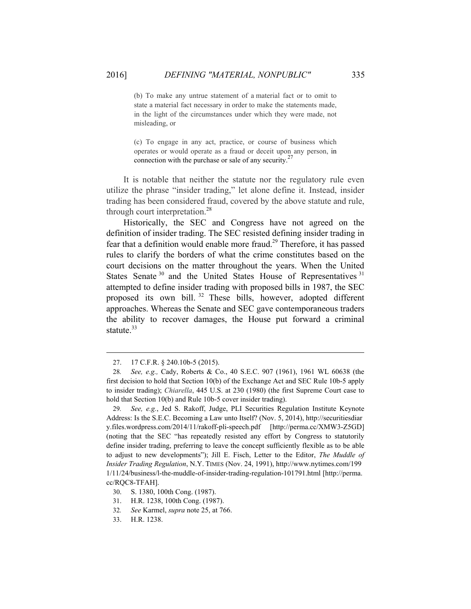(b) To make any untrue statement of a material fact or to omit to state a material fact necessary in order to make the statements made, in the light of the circumstances under which they were made, not misleading, or

(c) To engage in any act, practice, or course of business which operates or would operate as a fraud or deceit upon any person, in connection with the purchase or sale of any security.<sup>27</sup>

It is notable that neither the statute nor the regulatory rule even utilize the phrase "insider trading," let alone define it. Instead, insider trading has been considered fraud, covered by the above statute and rule, through court interpretation.<sup>28</sup>

Historically, the SEC and Congress have not agreed on the definition of insider trading. The SEC resisted defining insider trading in fear that a definition would enable more fraud.<sup>29</sup> Therefore, it has passed rules to clarify the borders of what the crime constitutes based on the court decisions on the matter throughout the years. When the United States Senate<sup>30</sup> and the United States House of Representatives<sup>31</sup> attempted to define insider trading with proposed bills in 1987, the SEC proposed its own bill. 32 These bills, however, adopted different approaches. Whereas the Senate and SEC gave contemporaneous traders the ability to recover damages, the House put forward a criminal statute.<sup>33</sup>

<sup>27. 17</sup> C.F.R. § 240.10b-5 (2015).

<sup>28</sup>*. See, e.g.,* Cady, Roberts & Co., 40 S.E.C. 907 (1961), 1961 WL 60638 (the first decision to hold that Section 10(b) of the Exchange Act and SEC Rule 10b-5 apply to insider trading); *Chiarella*, 445 U.S. at 230 (1980) (the first Supreme Court case to hold that Section 10(b) and Rule 10b-5 cover insider trading).

<sup>29</sup>*. See, e.g.*, Jed S. Rakoff, Judge, PLI Securities Regulation Institute Keynote Address: Is the S.E.C. Becoming a Law unto Itself? (Nov. 5, 2014), http://securitiesdiar y.files.wordpress.com/2014/11/rakoff-pli-speech.pdf [http://perma.cc/XMW3-Z5GD] (noting that the SEC "has repeatedly resisted any effort by Congress to statutorily define insider trading, preferring to leave the concept sufficiently flexible as to be able to adjust to new developments"); Jill E. Fisch, Letter to the Editor, *The Muddle of Insider Trading Regulation*, N.Y. TIMES (Nov. 24, 1991), http://www.nytimes.com/199 1/11/24/business/l-the-muddle-of-insider-trading-regulation-101791.html [http://perma. cc/RQC8-TFAH].

<sup>30.</sup> S. 1380, 100th Cong. (1987).

<sup>31.</sup> H.R. 1238, 100th Cong. (1987).

<sup>32</sup>*. See* Karmel, *supra* note 25, at 766.

<sup>33.</sup> H.R. 1238.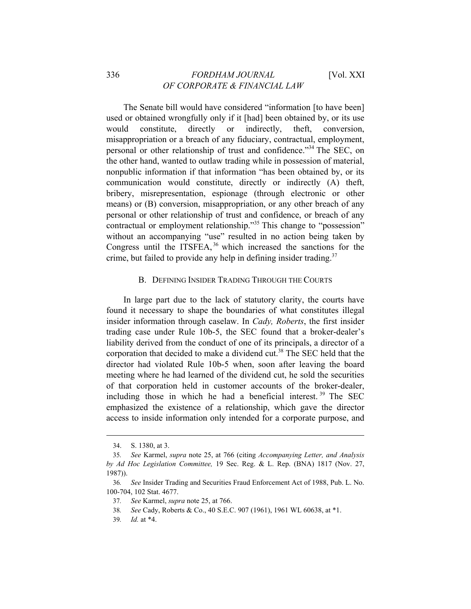The Senate bill would have considered "information [to have been] used or obtained wrongfully only if it [had] been obtained by, or its use would constitute, directly or indirectly, theft, conversion, misappropriation or a breach of any fiduciary, contractual, employment, personal or other relationship of trust and confidence."34 The SEC, on the other hand, wanted to outlaw trading while in possession of material, nonpublic information if that information "has been obtained by, or its communication would constitute, directly or indirectly (A) theft, bribery, misrepresentation, espionage (through electronic or other means) or (B) conversion, misappropriation, or any other breach of any personal or other relationship of trust and confidence, or breach of any contractual or employment relationship.<sup>35</sup> This change to "possession" without an accompanying "use" resulted in no action being taken by Congress until the ITSFEA,<sup>36</sup> which increased the sanctions for the crime, but failed to provide any help in defining insider trading.<sup>37</sup>

#### B. DEFINING INSIDER TRADING THROUGH THE COURTS

In large part due to the lack of statutory clarity, the courts have found it necessary to shape the boundaries of what constitutes illegal insider information through caselaw. In *Cady, Roberts*, the first insider trading case under Rule 10b-5, the SEC found that a broker-dealer's liability derived from the conduct of one of its principals, a director of a corporation that decided to make a dividend cut.<sup>38</sup> The SEC held that the director had violated Rule 10b-5 when, soon after leaving the board meeting where he had learned of the dividend cut, he sold the securities of that corporation held in customer accounts of the broker-dealer, including those in which he had a beneficial interest. 39 The SEC emphasized the existence of a relationship, which gave the director access to inside information only intended for a corporate purpose, and

<sup>34.</sup> S. 1380, at 3.

<sup>35</sup>*. See* Karmel, *supra* note 25, at 766 (citing *Accompanying Letter, and Analysis by Ad Hoc Legislation Committee,* 19 Sec. Reg. & L. Rep. (BNA) 1817 (Nov. 27, 1987)).

<sup>36</sup>*. See* Insider Trading and Securities Fraud Enforcement Act of 1988, Pub. L. No. 100-704, 102 Stat. 4677.

<sup>37</sup>*. See* Karmel, *supra* note 25, at 766.

<sup>38</sup>*. See* Cady, Roberts & Co., 40 S.E.C. 907 (1961), 1961 WL 60638, at \*1.

<sup>39</sup>*. Id.* at \*4.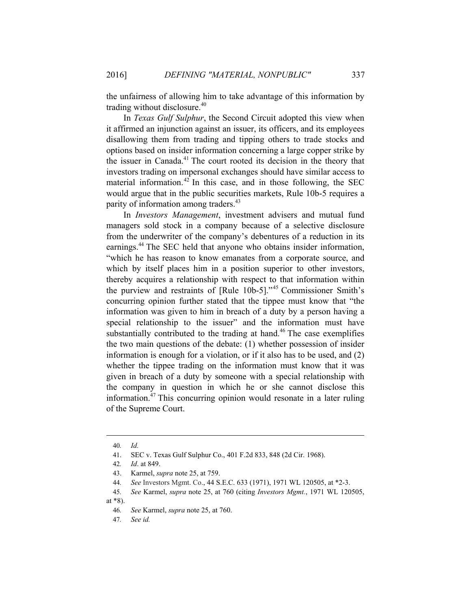the unfairness of allowing him to take advantage of this information by trading without disclosure.<sup>40</sup>

In *Texas Gulf Sulphur*, the Second Circuit adopted this view when it affirmed an injunction against an issuer, its officers, and its employees disallowing them from trading and tipping others to trade stocks and options based on insider information concerning a large copper strike by the issuer in Canada.<sup>41</sup> The court rooted its decision in the theory that investors trading on impersonal exchanges should have similar access to material information.<sup>42</sup> In this case, and in those following, the SEC would argue that in the public securities markets, Rule 10b-5 requires a parity of information among traders.<sup>43</sup>

In *Investors Management*, investment advisers and mutual fund managers sold stock in a company because of a selective disclosure from the underwriter of the company's debentures of a reduction in its earnings.<sup>44</sup> The SEC held that anyone who obtains insider information, "which he has reason to know emanates from a corporate source, and which by itself places him in a position superior to other investors, thereby acquires a relationship with respect to that information within the purview and restraints of [Rule 10b-5]."45 Commissioner Smith's concurring opinion further stated that the tippee must know that "the information was given to him in breach of a duty by a person having a special relationship to the issuer" and the information must have substantially contributed to the trading at hand.<sup>46</sup> The case exemplifies the two main questions of the debate: (1) whether possession of insider information is enough for a violation, or if it also has to be used, and (2) whether the tippee trading on the information must know that it was given in breach of a duty by someone with a special relationship with the company in question in which he or she cannot disclose this information.47 This concurring opinion would resonate in a later ruling of the Supreme Court.

 $\overline{a}$ 

at \*8).

<sup>40</sup>*. Id.*

<sup>41.</sup> SEC v. Texas Gulf Sulphur Co., 401 F.2d 833, 848 (2d Cir. 1968).

<sup>42</sup>*. Id*. at 849.

<sup>43.</sup> Karmel, *supra* note 25, at 759.

<sup>44</sup>*. See* Investors Mgmt. Co., 44 S.E.C. 633 (1971), 1971 WL 120505, at \*2-3.

<sup>45</sup>*. See* Karmel, *supra* note 25, at 760 (citing *Investors Mgmt.*, 1971 WL 120505,

<sup>46</sup>*. See* Karmel, *supra* note 25, at 760.

<sup>47</sup>*. See id.*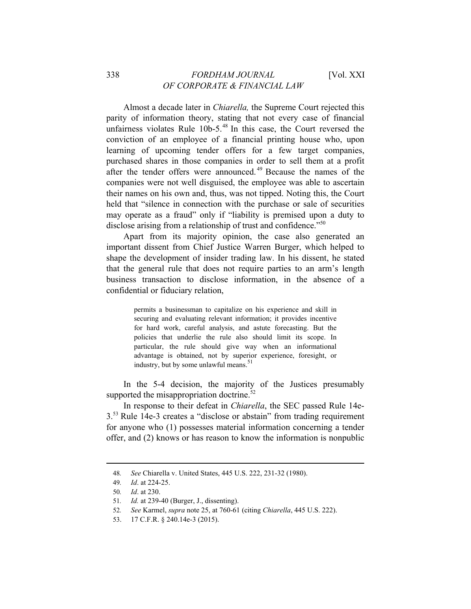Almost a decade later in *Chiarella,* the Supreme Court rejected this parity of information theory, stating that not every case of financial unfairness violates Rule  $10b-5$ .<sup>48</sup> In this case, the Court reversed the conviction of an employee of a financial printing house who, upon learning of upcoming tender offers for a few target companies, purchased shares in those companies in order to sell them at a profit after the tender offers were announced.<sup>49</sup> Because the names of the companies were not well disguised, the employee was able to ascertain their names on his own and, thus, was not tipped. Noting this, the Court held that "silence in connection with the purchase or sale of securities may operate as a fraud" only if "liability is premised upon a duty to disclose arising from a relationship of trust and confidence."<sup>50</sup>

Apart from its majority opinion, the case also generated an important dissent from Chief Justice Warren Burger, which helped to shape the development of insider trading law. In his dissent, he stated that the general rule that does not require parties to an arm's length business transaction to disclose information, in the absence of a confidential or fiduciary relation,

> permits a businessman to capitalize on his experience and skill in securing and evaluating relevant information; it provides incentive for hard work, careful analysis, and astute forecasting. But the policies that underlie the rule also should limit its scope. In particular, the rule should give way when an informational advantage is obtained, not by superior experience, foresight, or industry, but by some unlawful means.<sup>51</sup>

In the 5-4 decision, the majority of the Justices presumably supported the misappropriation doctrine.<sup>52</sup>

In response to their defeat in *Chiarella*, the SEC passed Rule 14e-3.53 Rule 14e-3 creates a "disclose or abstain" from trading requirement for anyone who (1) possesses material information concerning a tender offer, and (2) knows or has reason to know the information is nonpublic

<sup>48</sup>*. See* Chiarella v. United States, 445 U.S. 222, 231-32 (1980).

<sup>49</sup>*. Id*. at 224-25.

<sup>50</sup>*. Id*. at 230.

<sup>51</sup>*. Id.* at 239-40 (Burger, J., dissenting).

<sup>52</sup>*. See* Karmel, *supra* note 25, at 760-61 (citing *Chiarella*, 445 U.S. 222).

<sup>53. 17</sup> C.F.R. § 240.14e-3 (2015).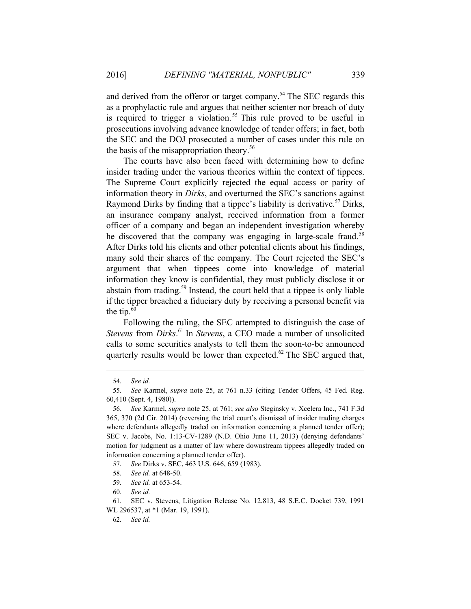and derived from the offeror or target company.<sup>54</sup> The SEC regards this as a prophylactic rule and argues that neither scienter nor breach of duty is required to trigger a violation.<sup>55</sup> This rule proved to be useful in prosecutions involving advance knowledge of tender offers; in fact, both the SEC and the DOJ prosecuted a number of cases under this rule on the basis of the misappropriation theory.<sup>56</sup>

The courts have also been faced with determining how to define insider trading under the various theories within the context of tippees. The Supreme Court explicitly rejected the equal access or parity of information theory in *Dirks*, and overturned the SEC's sanctions against Raymond Dirks by finding that a tippee's liability is derivative.<sup>57</sup> Dirks, an insurance company analyst, received information from a former officer of a company and began an independent investigation whereby he discovered that the company was engaging in large-scale fraud.<sup>58</sup> After Dirks told his clients and other potential clients about his findings, many sold their shares of the company. The Court rejected the SEC's argument that when tippees come into knowledge of material information they know is confidential, they must publicly disclose it or abstain from trading.59 Instead, the court held that a tippee is only liable if the tipper breached a fiduciary duty by receiving a personal benefit via the tip. $60$ 

Following the ruling, the SEC attempted to distinguish the case of *Stevens* from *Dirks*. 61 In *Stevens*, a CEO made a number of unsolicited calls to some securities analysts to tell them the soon-to-be announced quarterly results would be lower than expected. $62$  The SEC argued that,

<sup>54</sup>*. See id.* 

<sup>55</sup>*. See* Karmel, *supra* note 25, at 761 n.33 (citing Tender Offers, 45 Fed. Reg. 60,410 (Sept. 4, 1980)).

<sup>56</sup>*. See* Karmel, *supra* note 25, at 761; *see also* Steginsky v. Xcelera Inc., 741 F.3d 365, 370 (2d Cir. 2014) (reversing the trial court's dismissal of insider trading charges where defendants allegedly traded on information concerning a planned tender offer); SEC v. Jacobs, No. 1:13-CV-1289 (N.D. Ohio June 11, 2013) (denying defendants' motion for judgment as a matter of law where downstream tippees allegedly traded on information concerning a planned tender offer).

<sup>57</sup>*. See* Dirks v. SEC, 463 U.S. 646, 659 (1983).

<sup>58</sup>*. See id.* at 648-50.

<sup>59</sup>*. See id.* at 653-54.

<sup>60</sup>*. See id.*

<sup>61.</sup> SEC v. Stevens, Litigation Release No. 12,813, 48 S.E.C. Docket 739, 1991 WL 296537, at \*1 (Mar. 19, 1991).

<sup>62</sup>*. See id.*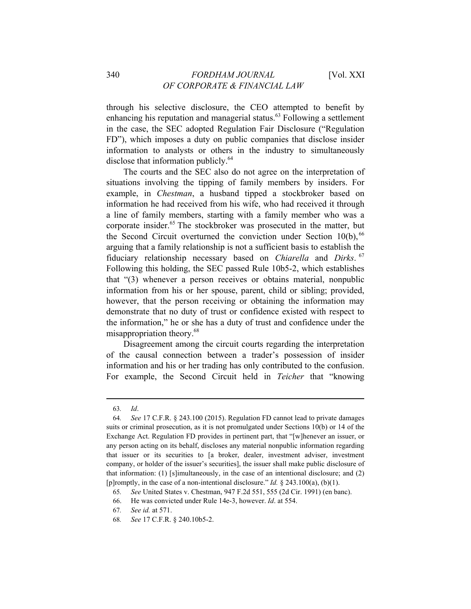through his selective disclosure, the CEO attempted to benefit by enhancing his reputation and managerial status.<sup>63</sup> Following a settlement in the case, the SEC adopted Regulation Fair Disclosure ("Regulation FD"), which imposes a duty on public companies that disclose insider information to analysts or others in the industry to simultaneously disclose that information publicly.<sup>64</sup>

The courts and the SEC also do not agree on the interpretation of situations involving the tipping of family members by insiders. For example, in *Chestman*, a husband tipped a stockbroker based on information he had received from his wife, who had received it through a line of family members, starting with a family member who was a corporate insider.<sup>65</sup> The stockbroker was prosecuted in the matter, but the Second Circuit overturned the conviction under Section  $10(b)$ , <sup>66</sup> arguing that a family relationship is not a sufficient basis to establish the fiduciary relationship necessary based on *Chiarella* and *Dirks*. <sup>67</sup> Following this holding, the SEC passed Rule 10b5-2, which establishes that "(3) whenever a person receives or obtains material, nonpublic information from his or her spouse, parent, child or sibling; provided, however, that the person receiving or obtaining the information may demonstrate that no duty of trust or confidence existed with respect to the information," he or she has a duty of trust and confidence under the misappropriation theory.<sup>68</sup>

Disagreement among the circuit courts regarding the interpretation of the causal connection between a trader's possession of insider information and his or her trading has only contributed to the confusion. For example, the Second Circuit held in *Teicher* that "knowing

<sup>63</sup>*. Id*.

<sup>64</sup>*. See* 17 C.F.R. § 243.100 (2015). Regulation FD cannot lead to private damages suits or criminal prosecution, as it is not promulgated under Sections 10(b) or 14 of the Exchange Act. Regulation FD provides in pertinent part, that "[w]henever an issuer, or any person acting on its behalf, discloses any material nonpublic information regarding that issuer or its securities to [a broker, dealer, investment adviser, investment company, or holder of the issuer's securities], the issuer shall make public disclosure of that information: (1) [s]imultaneously, in the case of an intentional disclosure; and (2) [p]romptly, in the case of a non-intentional disclosure." *Id.* § 243.100(a), (b)(1).

<sup>65</sup>*. See* United States v. Chestman, 947 F.2d 551, 555 (2d Cir. 1991) (en banc).

<sup>66.</sup> He was convicted under Rule 14e-3, however. *Id*. at 554.

<sup>67</sup>*. See id.* at 571.

<sup>68</sup>*. See* 17 C.F.R. § 240.10b5-2.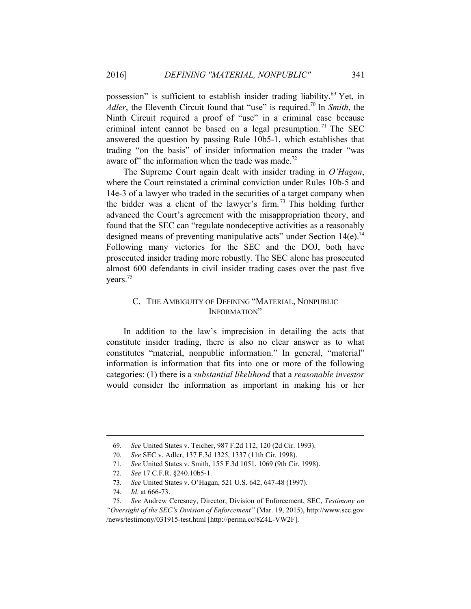possession" is sufficient to establish insider trading liability.<sup>69</sup> Yet, in *Adler*, the Eleventh Circuit found that "use" is required.<sup>70</sup> In *Smith*, the Ninth Circuit required a proof of "use" in a criminal case because criminal intent cannot be based on a legal presumption.<sup>71</sup> The SEC answered the question by passing Rule 10b5-1, which establishes that trading "on the basis" of insider information means the trader "was aware of" the information when the trade was made.<sup>72</sup>

The Supreme Court again dealt with insider trading in *O'Hagan*, where the Court reinstated a criminal conviction under Rules 10b-5 and 14e-3 of a lawyer who traded in the securities of a target company when the bidder was a client of the lawyer's firm. 73 This holding further advanced the Court's agreement with the misappropriation theory, and found that the SEC can "regulate nondeceptive activities as a reasonably designed means of preventing manipulative acts" under Section  $14(e)$ .<sup>74</sup> Following many victories for the SEC and the DOJ, both have prosecuted insider trading more robustly. The SEC alone has prosecuted almost 600 defendants in civil insider trading cases over the past five years.<sup>75</sup>

# C. THE AMBIGUITY OF DEFINING "MATERIAL, NONPUBLIC INFORMATION"

In addition to the law's imprecision in detailing the acts that constitute insider trading, there is also no clear answer as to what constitutes "material, nonpublic information." In general, "material" information is information that fits into one or more of the following categories: (1) there is a *substantial likelihood* that a *reasonable investor* would consider the information as important in making his or her

<sup>69</sup>*. See* United States v. Teicher, 987 F.2d 112, 120 (2d Cir. 1993).

<sup>70</sup>*. See* SEC v. Adler, 137 F.3d 1325, 1337 (11th Cir. 1998).

<sup>71</sup>*. See* United States v. Smith, 155 F.3d 1051, 1069 (9th Cir. 1998).

<sup>72</sup>*. See* 17 C.F.R. §240.10b5-1.

<sup>73</sup>*. See* United States v. O'Hagan, 521 U.S. 642, 647-48 (1997).

<sup>74</sup>*. Id*. at 666-73.

<sup>75</sup>*. See* Andrew Ceresney, Director, Division of Enforcement, SEC, *Testimony on "Oversight of the SEC's Division of Enforcement"* (Mar. 19, 2015), http://www.sec.gov /news/testimony/031915-test.html [http://perma.cc/8Z4L-VW2F].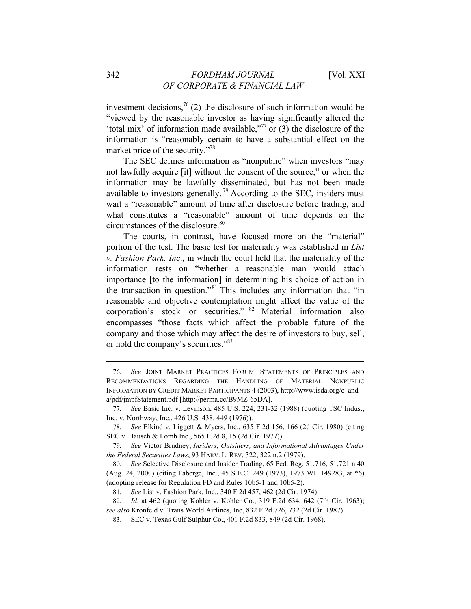investment decisions,<sup>76</sup> (2) the disclosure of such information would be "viewed by the reasonable investor as having significantly altered the 'total mix' of information made available, $\frac{1}{7}$  or (3) the disclosure of the information is "reasonably certain to have a substantial effect on the market price of the security."78

The SEC defines information as "nonpublic" when investors "may not lawfully acquire [it] without the consent of the source," or when the information may be lawfully disseminated, but has not been made available to investors generally.<sup>79</sup> According to the SEC, insiders must wait a "reasonable" amount of time after disclosure before trading, and what constitutes a "reasonable" amount of time depends on the circumstances of the disclosure.<sup>80</sup>

The courts, in contrast, have focused more on the "material" portion of the test. The basic test for materiality was established in *List v. Fashion Park, Inc*., in which the court held that the materiality of the information rests on "whether a reasonable man would attach importance [to the information] in determining his choice of action in the transaction in question."81 This includes any information that "in reasonable and objective contemplation might affect the value of the corporation's stock or securities." 82 Material information also encompasses "those facts which affect the probable future of the company and those which may affect the desire of investors to buy, sell, or hold the company's securities."83

<sup>76</sup>*. See* JOINT MARKET PRACTICES FORUM, STATEMENTS OF PRINCIPLES AND RECOMMENDATIONS REGARDING THE HANDLING OF MATERIAL NONPUBLIC INFORMATION BY CREDIT MARKET PARTICIPANTS 4 (2003), http://www.isda.org/c\_and\_ a/pdf/jmpfStatement.pdf [http://perma.cc/B9MZ-65DA].

<sup>77</sup>*. See* Basic Inc. v. Levinson, 485 U.S. 224, 231-32 (1988) (quoting TSC Indus., Inc. v. Northway, Inc., 426 U.S. 438, 449 (1976)).

<sup>78</sup>*. See* Elkind v. Liggett & Myers, Inc., 635 F.2d 156, 166 (2d Cir. 1980) (citing SEC v. Bausch & Lomb Inc., 565 F.2d 8, 15 (2d Cir. 1977)).

<sup>79</sup>*. See* Victor Brudney, *Insiders, Outsiders, and Informational Advantages Under the Federal Securities Laws*, 93 HARV. L. REV. 322, 322 n.2 (1979).

<sup>80</sup>*. See* Selective Disclosure and Insider Trading, 65 Fed. Reg. 51,716, 51,721 n.40 (Aug. 24, 2000) (citing Faberge, Inc., 45 S.E.C. 249 (1973), 1973 WL 149283, at \*6) (adopting release for Regulation FD and Rules 10b5-1 and 10b5-2).

<sup>81</sup>*. See* List v. Fashion Park, Inc., 340 F.2d 457, 462 (2d Cir. 1974).

<sup>82</sup>*. Id*. at 462 (quoting Kohler v. Kohler Co., 319 F.2d 634, 642 (7th Cir. 1963); *see also* Kronfeld v. Trans World Airlines, Inc, 832 F.2d 726, 732 (2d Cir. 1987).

<sup>83.</sup> SEC v. Texas Gulf Sulphur Co., 401 F.2d 833, 849 (2d Cir. 1968).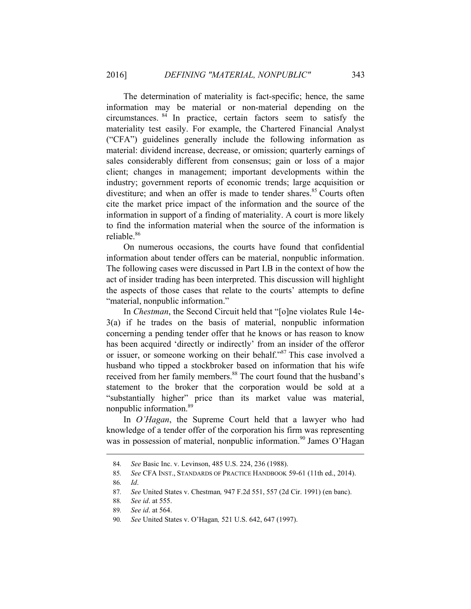The determination of materiality is fact-specific; hence, the same information may be material or non-material depending on the circumstances. 84 In practice, certain factors seem to satisfy the materiality test easily. For example, the Chartered Financial Analyst ("CFA") guidelines generally include the following information as material: dividend increase, decrease, or omission; quarterly earnings of sales considerably different from consensus; gain or loss of a major client; changes in management; important developments within the industry; government reports of economic trends; large acquisition or divestiture; and when an offer is made to tender shares. $85$  Courts often cite the market price impact of the information and the source of the information in support of a finding of materiality. A court is more likely to find the information material when the source of the information is reliable<sup>86</sup>

On numerous occasions, the courts have found that confidential information about tender offers can be material, nonpublic information. The following cases were discussed in Part I.B in the context of how the act of insider trading has been interpreted. This discussion will highlight the aspects of those cases that relate to the courts' attempts to define "material, nonpublic information."

In *Chestman*, the Second Circuit held that "[o]ne violates Rule 14e-3(a) if he trades on the basis of material, nonpublic information concerning a pending tender offer that he knows or has reason to know has been acquired 'directly or indirectly' from an insider of the offeror or issuer, or someone working on their behalf."<sup>87</sup> This case involved a husband who tipped a stockbroker based on information that his wife received from her family members.<sup>88</sup> The court found that the husband's statement to the broker that the corporation would be sold at a "substantially higher" price than its market value was material, nonpublic information.<sup>89</sup>

In *O'Hagan*, the Supreme Court held that a lawyer who had knowledge of a tender offer of the corporation his firm was representing was in possession of material, nonpublic information.<sup>90</sup> James O'Hagan

<sup>84</sup>*. See* Basic Inc. v. Levinson, 485 U.S. 224, 236 (1988).

<sup>85</sup>*. See* CFA INST., STANDARDS OF PRACTICE HANDBOOK 59-61 (11th ed., 2014).

<sup>86</sup>*. Id*.

<sup>87</sup>*. See* United States v. Chestman*,* 947 F.2d 551, 557 (2d Cir. 1991) (en banc).

<sup>88</sup>*. See id*. at 555.

<sup>89</sup>*. See id*. at 564.

<sup>90</sup>*. See* United States v. O'Hagan*,* 521 U.S. 642, 647 (1997).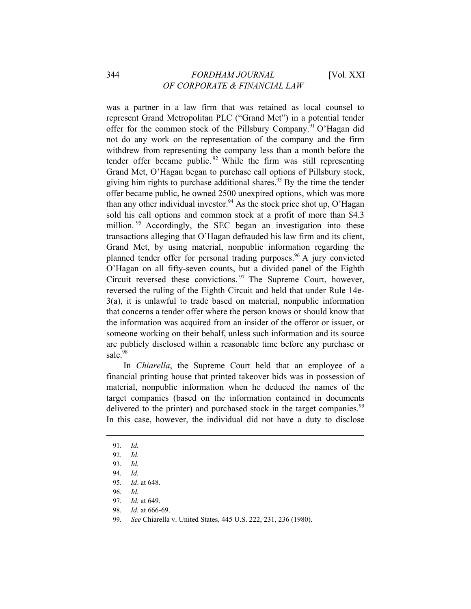was a partner in a law firm that was retained as local counsel to represent Grand Metropolitan PLC ("Grand Met") in a potential tender offer for the common stock of the Pillsbury Company.<sup>91</sup> O'Hagan did not do any work on the representation of the company and the firm withdrew from representing the company less than a month before the tender offer became public.<sup>92</sup> While the firm was still representing Grand Met, O'Hagan began to purchase call options of Pillsbury stock, giving him rights to purchase additional shares.<sup>93</sup> By the time the tender offer became public, he owned 2500 unexpired options, which was more than any other individual investor.<sup>94</sup> As the stock price shot up, O'Hagan sold his call options and common stock at a profit of more than \$4.3 million.<sup>95</sup> Accordingly, the SEC began an investigation into these transactions alleging that O'Hagan defrauded his law firm and its client, Grand Met, by using material, nonpublic information regarding the planned tender offer for personal trading purposes.<sup>96</sup> A jury convicted O'Hagan on all fifty-seven counts, but a divided panel of the Eighth Circuit reversed these convictions. 97 The Supreme Court, however, reversed the ruling of the Eighth Circuit and held that under Rule 14e-3(a), it is unlawful to trade based on material, nonpublic information that concerns a tender offer where the person knows or should know that the information was acquired from an insider of the offeror or issuer, or someone working on their behalf, unless such information and its source are publicly disclosed within a reasonable time before any purchase or sale.<sup>98</sup>

In *Chiarella*, the Supreme Court held that an employee of a financial printing house that printed takeover bids was in possession of material, nonpublic information when he deduced the names of the target companies (based on the information contained in documents delivered to the printer) and purchased stock in the target companies.<sup>99</sup> In this case, however, the individual did not have a duty to disclose

 $\overline{a}$ 

98*. Id.* at 666-69.

<sup>91</sup>*. Id.* 

<sup>92</sup>*. Id.* 

<sup>93</sup>*. Id.* 

<sup>94</sup>*. Id.*

<sup>95</sup>*. Id*. at 648.

<sup>96</sup>*. Id.*

<sup>97</sup>*. Id.* at 649.

<sup>99</sup>*. See* Chiarella v. United States, 445 U.S. 222, 231, 236 (1980).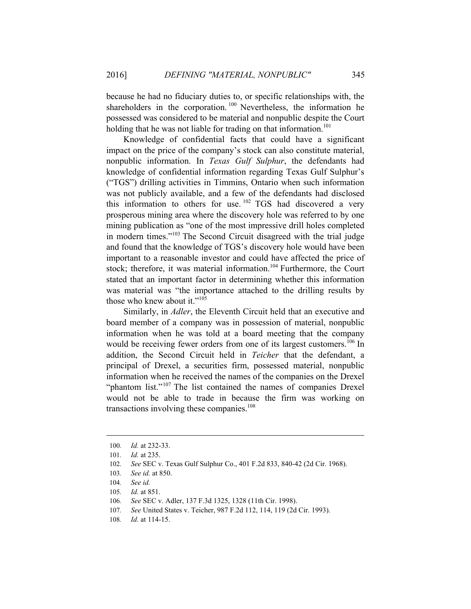because he had no fiduciary duties to, or specific relationships with, the shareholders in the corporation.<sup>100</sup> Nevertheless, the information he possessed was considered to be material and nonpublic despite the Court holding that he was not liable for trading on that information.<sup>101</sup>

Knowledge of confidential facts that could have a significant impact on the price of the company's stock can also constitute material, nonpublic information. In *Texas Gulf Sulphur*, the defendants had knowledge of confidential information regarding Texas Gulf Sulphur's ("TGS") drilling activities in Timmins, Ontario when such information was not publicly available, and a few of the defendants had disclosed this information to others for use.<sup>102</sup> TGS had discovered a very prosperous mining area where the discovery hole was referred to by one mining publication as "one of the most impressive drill holes completed in modern times."103 The Second Circuit disagreed with the trial judge and found that the knowledge of TGS's discovery hole would have been important to a reasonable investor and could have affected the price of stock; therefore, it was material information.<sup>104</sup> Furthermore, the Court stated that an important factor in determining whether this information was material was "the importance attached to the drilling results by those who knew about it."<sup>105</sup>

Similarly, in *Adler*, the Eleventh Circuit held that an executive and board member of a company was in possession of material, nonpublic information when he was told at a board meeting that the company would be receiving fewer orders from one of its largest customers.<sup>106</sup> In addition, the Second Circuit held in *Teicher* that the defendant, a principal of Drexel, a securities firm, possessed material, nonpublic information when he received the names of the companies on the Drexel "phantom list."<sup>107</sup> The list contained the names of companies Drexel would not be able to trade in because the firm was working on transactions involving these companies.<sup>108</sup>

<sup>100</sup>*. Id.* at 232-33.

<sup>101</sup>*. Id.* at 235.

<sup>102</sup>*. See* SEC v. Texas Gulf Sulphur Co., 401 F.2d 833, 840-42 (2d Cir. 1968).

<sup>103</sup>*. See id.* at 850.

<sup>104</sup>*. See id.*

<sup>105</sup>*. Id.* at 851.

<sup>106</sup>*. See* SEC v. Adler, 137 F.3d 1325, 1328 (11th Cir. 1998).

<sup>107</sup>*. See* United States v. Teicher, 987 F.2d 112, 114, 119 (2d Cir. 1993).

<sup>108</sup>*. Id.* at 114-15.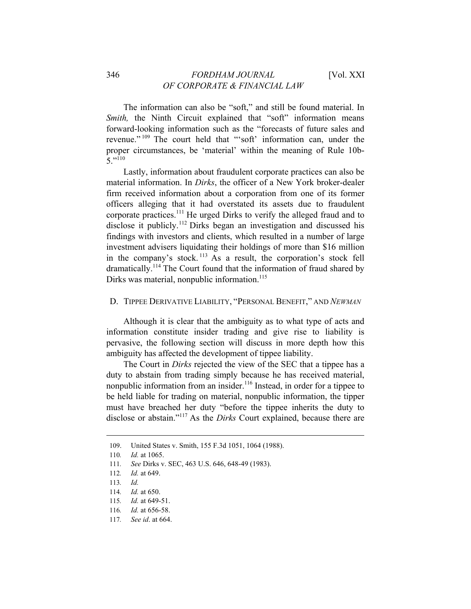The information can also be "soft," and still be found material. In *Smith*, the Ninth Circuit explained that "soft" information means forward-looking information such as the "forecasts of future sales and revenue." 109 The court held that "'soft' information can, under the proper circumstances, be 'material' within the meaning of Rule 10b- $5 \cdot 110$ 

Lastly, information about fraudulent corporate practices can also be material information. In *Dirks*, the officer of a New York broker-dealer firm received information about a corporation from one of its former officers alleging that it had overstated its assets due to fraudulent corporate practices.<sup>111</sup> He urged Dirks to verify the alleged fraud and to disclose it publicly.<sup>112</sup> Dirks began an investigation and discussed his findings with investors and clients, which resulted in a number of large investment advisers liquidating their holdings of more than \$16 million in the company's stock.<sup>113</sup> As a result, the corporation's stock fell dramatically.114 The Court found that the information of fraud shared by Dirks was material, nonpublic information.<sup>115</sup>

# D. TIPPEE DERIVATIVE LIABILITY, "PERSONAL BENEFIT," AND *NEWMAN*

Although it is clear that the ambiguity as to what type of acts and information constitute insider trading and give rise to liability is pervasive, the following section will discuss in more depth how this ambiguity has affected the development of tippee liability.

The Court in *Dirks* rejected the view of the SEC that a tippee has a duty to abstain from trading simply because he has received material, nonpublic information from an insider.116 Instead, in order for a tippee to be held liable for trading on material, nonpublic information, the tipper must have breached her duty "before the tippee inherits the duty to disclose or abstain."117 As the *Dirks* Court explained, because there are

- 116*. Id.* at 656-58.
- 117*. See id*. at 664.

<sup>109.</sup> United States v. Smith, 155 F.3d 1051, 1064 (1988).

<sup>110</sup>*. Id.* at 1065.

<sup>111</sup>*. See* Dirks v. SEC, 463 U.S. 646, 648-49 (1983).

<sup>112</sup>*. Id.* at 649.

<sup>113</sup>*. Id.* 

<sup>114</sup>*. Id.* at 650.

<sup>115</sup>*. Id.* at 649-51.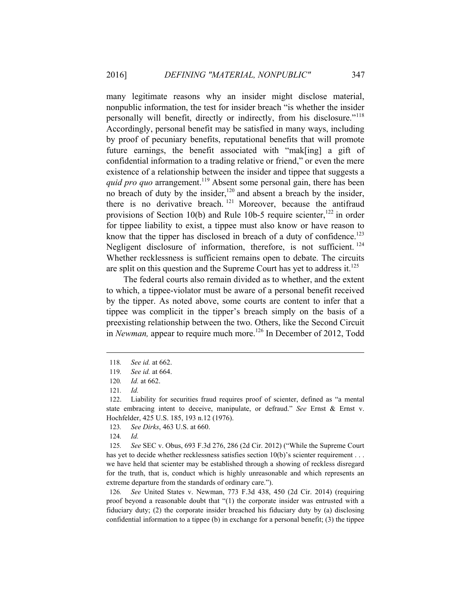many legitimate reasons why an insider might disclose material, nonpublic information, the test for insider breach "is whether the insider personally will benefit, directly or indirectly, from his disclosure."<sup>118</sup> Accordingly, personal benefit may be satisfied in many ways, including by proof of pecuniary benefits, reputational benefits that will promote future earnings, the benefit associated with "mak[ing] a gift of confidential information to a trading relative or friend," or even the mere existence of a relationship between the insider and tippee that suggests a *quid pro quo* arrangement.<sup>119</sup> Absent some personal gain, there has been no breach of duty by the insider,<sup>120</sup> and absent a breach by the insider, there is no derivative breach.<sup>121</sup> Moreover, because the antifraud provisions of Section 10(b) and Rule 10b-5 require scienter, $^{122}$  in order for tippee liability to exist, a tippee must also know or have reason to know that the tipper has disclosed in breach of a duty of confidence.<sup>123</sup> Negligent disclosure of information, therefore, is not sufficient.<sup>124</sup> Whether recklessness is sufficient remains open to debate. The circuits are split on this question and the Supreme Court has yet to address it.<sup>125</sup>

The federal courts also remain divided as to whether, and the extent to which, a tippee-violator must be aware of a personal benefit received by the tipper. As noted above, some courts are content to infer that a tippee was complicit in the tipper's breach simply on the basis of a preexisting relationship between the two. Others, like the Second Circuit in *Newman*, appear to require much more.<sup>126</sup> In December of 2012, Todd

 $\overline{a}$ 

126*. See* United States v. Newman, 773 F.3d 438, 450 (2d Cir. 2014) (requiring proof beyond a reasonable doubt that "(1) the corporate insider was entrusted with a fiduciary duty; (2) the corporate insider breached his fiduciary duty by (a) disclosing confidential information to a tippee  $(b)$  in exchange for a personal benefit;  $(3)$  the tippee

<sup>118</sup>*. See id.* at 662.

<sup>119</sup>*. See id.* at 664.

<sup>120</sup>*. Id.* at 662.

<sup>121</sup>*. Id.*

<sup>122.</sup> Liability for securities fraud requires proof of scienter, defined as "a mental state embracing intent to deceive, manipulate, or defraud." *See* Ernst & Ernst v. Hochfelder, 425 U.S. 185, 193 n.12 (1976).

<sup>123</sup>*. See Dirks*, 463 U.S. at 660.

<sup>124</sup>*. Id.* 

<sup>125</sup>*. See* SEC v. Obus, 693 F.3d 276, 286 (2d Cir. 2012) ("While the Supreme Court has yet to decide whether recklessness satisfies section 10(b)'s scienter requirement . . . we have held that scienter may be established through a showing of reckless disregard for the truth, that is, conduct which is highly unreasonable and which represents an extreme departure from the standards of ordinary care.").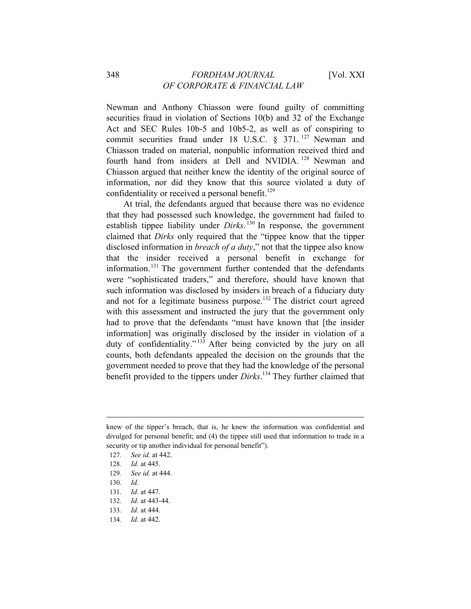# 348 *FORDHAM JOURNAL* [Vol. XXI *OF CORPORATE & FINANCIAL LAW*

Newman and Anthony Chiasson were found guilty of committing securities fraud in violation of Sections 10(b) and 32 of the Exchange Act and SEC Rules 10b-5 and 10b5-2, as well as of conspiring to commit securities fraud under 18 U.S.C.  $\frac{1}{2}$  371. <sup>127</sup> Newman and Chiasson traded on material, nonpublic information received third and fourth hand from insiders at Dell and NVIDIA.<sup>128</sup> Newman and Chiasson argued that neither knew the identity of the original source of information, nor did they know that this source violated a duty of confidentiality or received a personal benefit.<sup>129</sup>

At trial, the defendants argued that because there was no evidence that they had possessed such knowledge, the government had failed to establish tippee liability under *Dirks*. 130 In response, the government claimed that *Dirks* only required that the "tippee know that the tipper disclosed information in *breach of a duty*," not that the tippee also know that the insider received a personal benefit in exchange for information.<sup>131</sup> The government further contended that the defendants were "sophisticated traders," and therefore, should have known that such information was disclosed by insiders in breach of a fiduciary duty and not for a legitimate business purpose.<sup>132</sup> The district court agreed with this assessment and instructed the jury that the government only had to prove that the defendants "must have known that [the insider information] was originally disclosed by the insider in violation of a duty of confidentiality."<sup>133</sup> After being convicted by the jury on all counts, both defendants appealed the decision on the grounds that the government needed to prove that they had the knowledge of the personal benefit provided to the tippers under *Dirks*. 134 They further claimed that

130*. Id.*

 $\overline{a}$ 

- 131*. Id.* at 447.
- 132*. Id.* at 443-44.

134*. Id.* at 442.

knew of the tipper's breach, that is, he knew the information was confidential and divulged for personal benefit; and (4) the tippee still used that information to trade in a security or tip another individual for personal benefit").

<sup>127</sup>*. See id.* at 442.

<sup>128</sup>*. Id.* at 445.

<sup>129</sup>*. See id.* at 444.

<sup>133</sup>*. Id.* at 444.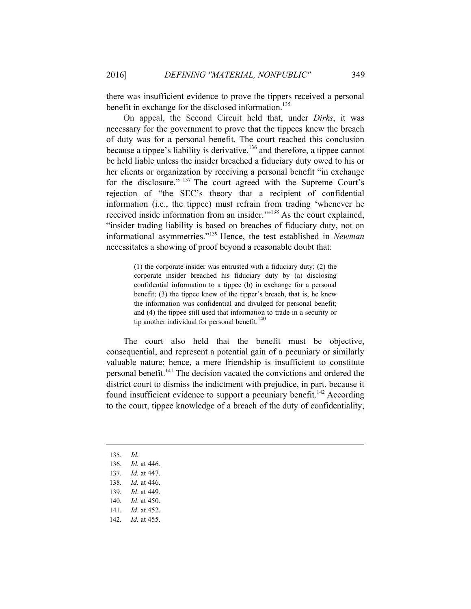there was insufficient evidence to prove the tippers received a personal benefit in exchange for the disclosed information.<sup>135</sup>

On appeal, the Second Circuit held that, under *Dirks*, it was necessary for the government to prove that the tippees knew the breach of duty was for a personal benefit. The court reached this conclusion because a tippee's liability is derivative,<sup>136</sup> and therefore, a tippee cannot be held liable unless the insider breached a fiduciary duty owed to his or her clients or organization by receiving a personal benefit "in exchange for the disclosure." <sup>137</sup> The court agreed with the Supreme Court's rejection of "the SEC's theory that a recipient of confidential information (i.e., the tippee) must refrain from trading 'whenever he received inside information from an insider.'"138 As the court explained, "insider trading liability is based on breaches of fiduciary duty, not on informational asymmetries."139 Hence, the test established in *Newman* necessitates a showing of proof beyond a reasonable doubt that:

> (1) the corporate insider was entrusted with a fiduciary duty; (2) the corporate insider breached his fiduciary duty by (a) disclosing confidential information to a tippee (b) in exchange for a personal benefit; (3) the tippee knew of the tipper's breach, that is, he knew the information was confidential and divulged for personal benefit; and (4) the tippee still used that information to trade in a security or tip another individual for personal benefit.<sup>140</sup>

The court also held that the benefit must be objective, consequential, and represent a potential gain of a pecuniary or similarly valuable nature; hence, a mere friendship is insufficient to constitute personal benefit.<sup>141</sup> The decision vacated the convictions and ordered the district court to dismiss the indictment with prejudice, in part, because it found insufficient evidence to support a pecuniary benefit.<sup>142</sup> According to the court, tippee knowledge of a breach of the duty of confidentiality,

135*. Id.* 

- 136*. Id.* at 446.
- 137*. Id.* at 447.
- 138*. Id.* at 446.
- 139*. Id*. at 449.
- 140*. Id*. at 450.
- 141*. Id*. at 452.
- 142*. Id.* at 455.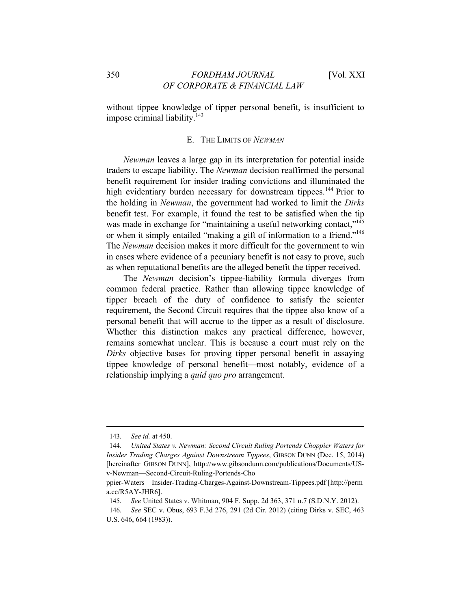without tippee knowledge of tipper personal benefit, is insufficient to impose criminal liability. $143$ 

#### E. THE LIMITS OF *NEWMAN*

*Newman* leaves a large gap in its interpretation for potential inside traders to escape liability. The *Newman* decision reaffirmed the personal benefit requirement for insider trading convictions and illuminated the high evidentiary burden necessary for downstream tippees.<sup>144</sup> Prior to the holding in *Newman*, the government had worked to limit the *Dirks* benefit test. For example, it found the test to be satisfied when the tip was made in exchange for "maintaining a useful networking contact,"<sup>145</sup> or when it simply entailed "making a gift of information to a friend."146 The *Newman* decision makes it more difficult for the government to win in cases where evidence of a pecuniary benefit is not easy to prove, such as when reputational benefits are the alleged benefit the tipper received.

The *Newman* decision's tippee-liability formula diverges from common federal practice. Rather than allowing tippee knowledge of tipper breach of the duty of confidence to satisfy the scienter requirement, the Second Circuit requires that the tippee also know of a personal benefit that will accrue to the tipper as a result of disclosure. Whether this distinction makes any practical difference, however, remains somewhat unclear. This is because a court must rely on the *Dirks* objective bases for proving tipper personal benefit in assaying tippee knowledge of personal benefit—most notably, evidence of a relationship implying a *quid quo pro* arrangement.

<sup>143</sup>*. See id.* at 450.

<sup>144.</sup> *United States v. Newman: Second Circuit Ruling Portends Choppier Waters for Insider Trading Charges Against Downstream Tippees*, GIBSON DUNN (Dec. 15, 2014) [hereinafter GIBSON DUNN], http://www.gibsondunn.com/publications/Documents/USv-Newman—Second-Circuit-Ruling-Portends-Cho

ppier-Waters—Insider-Trading-Charges-Against-Downstream-Tippees.pdf [http://perm a.cc/R5AY-JHR6].

<sup>145</sup>*. See* United States v. Whitman, 904 F. Supp. 2d 363, 371 n.7 (S.D.N.Y. 2012).

<sup>146</sup>*. See* SEC v. Obus, 693 F.3d 276, 291 (2d Cir. 2012) (citing Dirks v. SEC, 463 U.S. 646, 664 (1983)).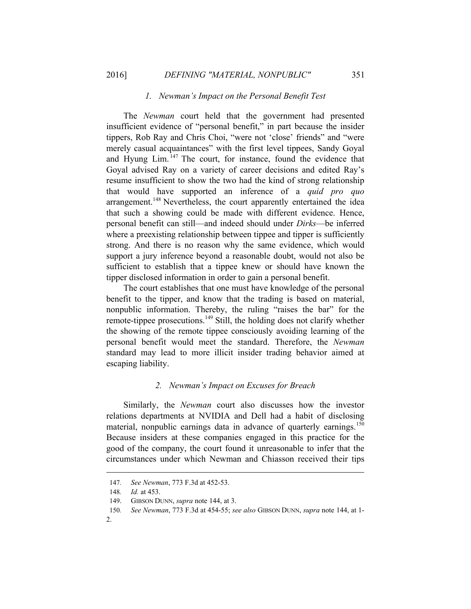#### *1. Newman's Impact on the Personal Benefit Test*

The *Newman* court held that the government had presented insufficient evidence of "personal benefit," in part because the insider tippers, Rob Ray and Chris Choi, "were not 'close' friends" and "were merely casual acquaintances" with the first level tippees, Sandy Goyal and Hyung Lim. 147 The court, for instance, found the evidence that Goyal advised Ray on a variety of career decisions and edited Ray's resume insufficient to show the two had the kind of strong relationship that would have supported an inference of a *quid pro quo*  arrangement.<sup>148</sup> Nevertheless, the court apparently entertained the idea that such a showing could be made with different evidence. Hence, personal benefit can still—and indeed should under *Dirks*—be inferred where a preexisting relationship between tippee and tipper is sufficiently strong. And there is no reason why the same evidence, which would support a jury inference beyond a reasonable doubt, would not also be sufficient to establish that a tippee knew or should have known the tipper disclosed information in order to gain a personal benefit.

The court establishes that one must have knowledge of the personal benefit to the tipper, and know that the trading is based on material, nonpublic information. Thereby, the ruling "raises the bar" for the remote-tippee prosecutions.<sup>149</sup> Still, the holding does not clarify whether the showing of the remote tippee consciously avoiding learning of the personal benefit would meet the standard. Therefore, the *Newman* standard may lead to more illicit insider trading behavior aimed at escaping liability.

# *2. Newman's Impact on Excuses for Breach*

Similarly, the *Newman* court also discusses how the investor relations departments at NVIDIA and Dell had a habit of disclosing material, nonpublic earnings data in advance of quarterly earnings.<sup>150</sup> Because insiders at these companies engaged in this practice for the good of the company, the court found it unreasonable to infer that the circumstances under which Newman and Chiasson received their tips

2.

<sup>147</sup>*. See Newman*, 773 F.3d at 452-53.

<sup>148</sup>*. Id.* at 453.

<sup>149.</sup> GIBSON DUNN, *supra* note 144, at 3.

<sup>150</sup>*. See Newman*, 773 F.3d at 454-55; *see also* GIBSON DUNN, *supra* note 144, at 1-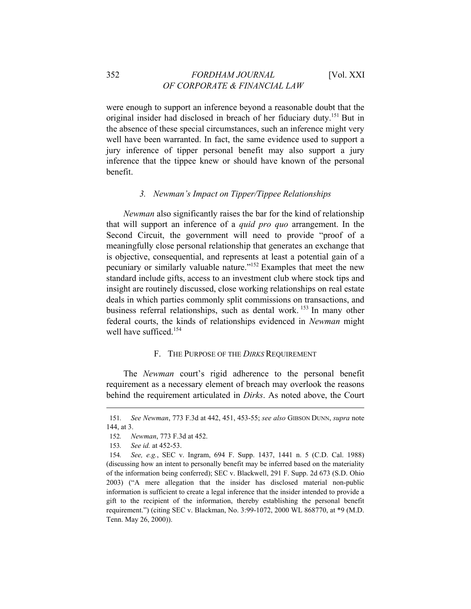were enough to support an inference beyond a reasonable doubt that the original insider had disclosed in breach of her fiduciary duty.151 But in the absence of these special circumstances, such an inference might very well have been warranted. In fact, the same evidence used to support a jury inference of tipper personal benefit may also support a jury inference that the tippee knew or should have known of the personal benefit.

#### *3. Newman's Impact on Tipper/Tippee Relationships*

*Newman* also significantly raises the bar for the kind of relationship that will support an inference of a *quid pro quo* arrangement. In the Second Circuit, the government will need to provide "proof of a meaningfully close personal relationship that generates an exchange that is objective, consequential, and represents at least a potential gain of a pecuniary or similarly valuable nature."152 Examples that meet the new standard include gifts, access to an investment club where stock tips and insight are routinely discussed, close working relationships on real estate deals in which parties commonly split commissions on transactions, and business referral relationships, such as dental work.<sup>153</sup> In many other federal courts, the kinds of relationships evidenced in *Newman* might well have sufficed.<sup>154</sup>

#### F. THE PURPOSE OF THE *DIRKS* REQUIREMENT

The *Newman* court's rigid adherence to the personal benefit requirement as a necessary element of breach may overlook the reasons behind the requirement articulated in *Dirks*. As noted above, the Court

<sup>151</sup>*. See Newman*, 773 F.3d at 442, 451, 453-55; *see also* GIBSON DUNN, *supra* note 144, at 3.

<sup>152</sup>*. Newman*, 773 F.3d at 452.

<sup>153</sup>*. See id.* at 452-53.

<sup>154</sup>*. See, e.g.*, SEC v. Ingram, 694 F. Supp. 1437, 1441 n. 5 (C.D. Cal. 1988) (discussing how an intent to personally benefit may be inferred based on the materiality of the information being conferred); SEC v. Blackwell, 291 F. Supp. 2d 673 (S.D. Ohio 2003) ("A mere allegation that the insider has disclosed material non-public information is sufficient to create a legal inference that the insider intended to provide a gift to the recipient of the information, thereby establishing the personal benefit requirement.") (citing SEC v. Blackman, No. 3:99-1072, 2000 WL 868770, at \*9 (M.D. Tenn. May 26, 2000)).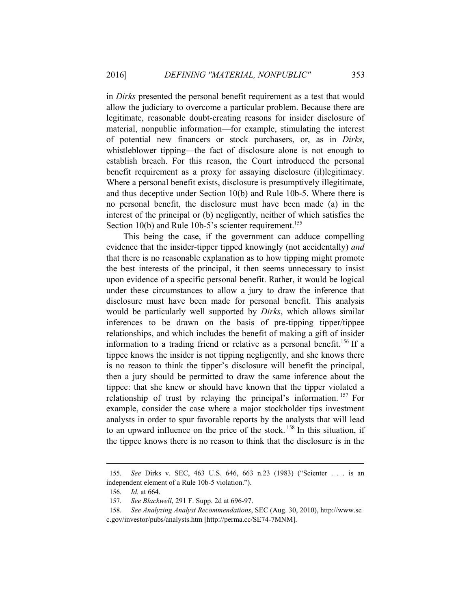in *Dirks* presented the personal benefit requirement as a test that would allow the judiciary to overcome a particular problem. Because there are legitimate, reasonable doubt-creating reasons for insider disclosure of material, nonpublic information—for example, stimulating the interest of potential new financers or stock purchasers, or, as in *Dirks*, whistleblower tipping—the fact of disclosure alone is not enough to establish breach. For this reason, the Court introduced the personal benefit requirement as a proxy for assaying disclosure (il)legitimacy. Where a personal benefit exists, disclosure is presumptively illegitimate, and thus deceptive under Section 10(b) and Rule 10b-5. Where there is no personal benefit, the disclosure must have been made (a) in the interest of the principal or (b) negligently, neither of which satisfies the Section 10(b) and Rule 10b-5's scienter requirement.<sup>155</sup>

This being the case, if the government can adduce compelling evidence that the insider-tipper tipped knowingly (not accidentally) *and* that there is no reasonable explanation as to how tipping might promote the best interests of the principal, it then seems unnecessary to insist upon evidence of a specific personal benefit. Rather, it would be logical under these circumstances to allow a jury to draw the inference that disclosure must have been made for personal benefit. This analysis would be particularly well supported by *Dirks*, which allows similar inferences to be drawn on the basis of pre-tipping tipper/tippee relationships, and which includes the benefit of making a gift of insider information to a trading friend or relative as a personal benefit.<sup>156</sup> If a tippee knows the insider is not tipping negligently, and she knows there is no reason to think the tipper's disclosure will benefit the principal, then a jury should be permitted to draw the same inference about the tippee: that she knew or should have known that the tipper violated a relationship of trust by relaying the principal's information. 157 For example, consider the case where a major stockholder tips investment analysts in order to spur favorable reports by the analysts that will lead to an upward influence on the price of the stock.<sup>158</sup> In this situation, if the tippee knows there is no reason to think that the disclosure is in the

<sup>155</sup>*. See* Dirks v. SEC, 463 U.S. 646, 663 n.23 (1983) ("Scienter . . . is an independent element of a Rule 10b-5 violation.").

<sup>156</sup>*. Id.* at 664.

<sup>157</sup>*. See Blackwell*, 291 F. Supp. 2d at 696-97.

<sup>158</sup>*. See Analyzing Analyst Recommendations*, SEC (Aug. 30, 2010), http://www.se c.gov/investor/pubs/analysts.htm [http://perma.cc/SE74-7MNM].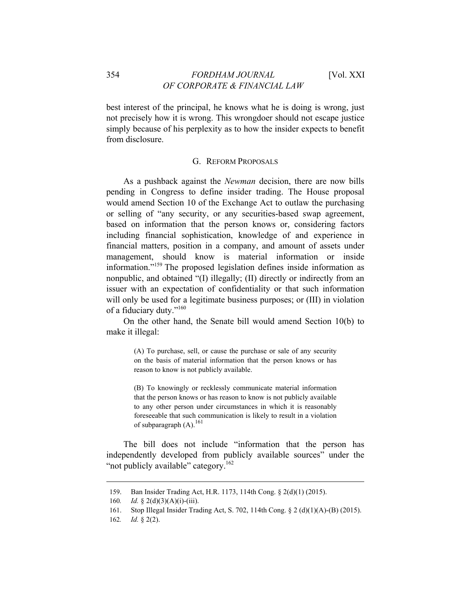best interest of the principal, he knows what he is doing is wrong, just not precisely how it is wrong. This wrongdoer should not escape justice simply because of his perplexity as to how the insider expects to benefit from disclosure.

#### G. REFORM PROPOSALS

As a pushback against the *Newman* decision, there are now bills pending in Congress to define insider trading. The House proposal would amend Section 10 of the Exchange Act to outlaw the purchasing or selling of "any security, or any securities-based swap agreement, based on information that the person knows or, considering factors including financial sophistication, knowledge of and experience in financial matters, position in a company, and amount of assets under management, should know is material information or inside information."159 The proposed legislation defines inside information as nonpublic, and obtained "(I) illegally; (II) directly or indirectly from an issuer with an expectation of confidentiality or that such information will only be used for a legitimate business purposes; or (III) in violation of a fiduciary duty."160

On the other hand, the Senate bill would amend Section 10(b) to make it illegal:

> (A) To purchase, sell, or cause the purchase or sale of any security on the basis of material information that the person knows or has reason to know is not publicly available.

> (B) To knowingly or recklessly communicate material information that the person knows or has reason to know is not publicly available to any other person under circumstances in which it is reasonably foreseeable that such communication is likely to result in a violation of subparagraph  $(A)$ .<sup>161</sup>

The bill does not include "information that the person has independently developed from publicly available sources" under the "not publicly available" category.<sup>162</sup>

<sup>159.</sup> Ban Insider Trading Act, H.R. 1173, 114th Cong. § 2(d)(1) (2015).

<sup>160</sup>*. Id.* § 2(d)(3)(A)(i)-(iii).

<sup>161.</sup> Stop Illegal Insider Trading Act, S. 702, 114th Cong. § 2 (d)(1)(A)-(B) (2015).

<sup>162</sup>*. Id.* § 2(2).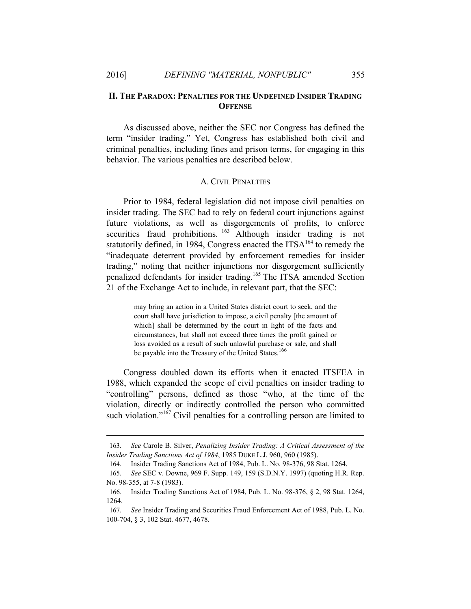#### **II. THE PARADOX: PENALTIES FOR THE UNDEFINED INSIDER TRADING OFFENSE**

As discussed above, neither the SEC nor Congress has defined the term "insider trading." Yet, Congress has established both civil and criminal penalties, including fines and prison terms, for engaging in this behavior. The various penalties are described below.

# A. CIVIL PENALTIES

Prior to 1984, federal legislation did not impose civil penalties on insider trading. The SEC had to rely on federal court injunctions against future violations, as well as disgorgements of profits, to enforce securities fraud prohibitions. <sup>163</sup> Although insider trading is not statutorily defined, in 1984, Congress enacted the  $ITSA<sup>164</sup>$  to remedy the "inadequate deterrent provided by enforcement remedies for insider trading," noting that neither injunctions nor disgorgement sufficiently penalized defendants for insider trading.<sup>165</sup> The ITSA amended Section 21 of the Exchange Act to include, in relevant part, that the SEC:

> may bring an action in a United States district court to seek, and the court shall have jurisdiction to impose, a civil penalty [the amount of which] shall be determined by the court in light of the facts and circumstances, but shall not exceed three times the profit gained or loss avoided as a result of such unlawful purchase or sale, and shall be payable into the Treasury of the United States.<sup>166</sup>

Congress doubled down its efforts when it enacted ITSFEA in 1988, which expanded the scope of civil penalties on insider trading to "controlling" persons, defined as those "who, at the time of the violation, directly or indirectly controlled the person who committed such violation."<sup>167</sup> Civil penalties for a controlling person are limited to

<sup>163</sup>*. See* Carole B. Silver, *Penalizing Insider Trading: A Critical Assessment of the Insider Trading Sanctions Act of 1984*, 1985 DUKE L.J. 960, 960 (1985).

<sup>164.</sup> Insider Trading Sanctions Act of 1984, Pub. L. No. 98-376, 98 Stat. 1264.

<sup>165</sup>*. See* SEC v. Downe, 969 F. Supp. 149, 159 (S.D.N.Y. 1997) (quoting H.R. Rep. No. 98-355, at 7-8 (1983).

<sup>166.</sup> Insider Trading Sanctions Act of 1984, Pub. L. No. 98-376, § 2, 98 Stat. 1264, 1264.

<sup>167</sup>*. See* Insider Trading and Securities Fraud Enforcement Act of 1988, Pub. L. No. 100-704, § 3, 102 Stat. 4677, 4678.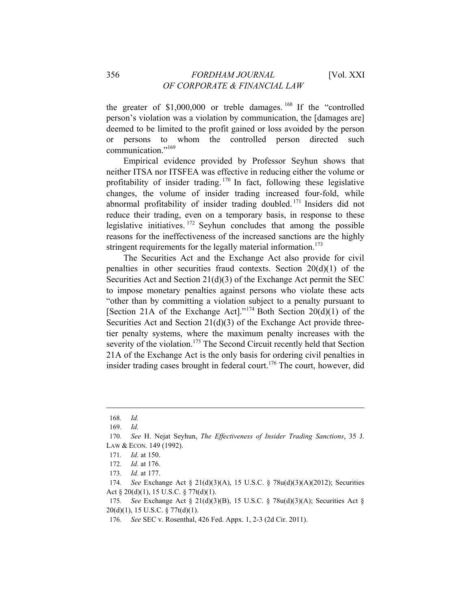the greater of \$1,000,000 or treble damages.<sup>168</sup> If the "controlled person's violation was a violation by communication, the [damages are] deemed to be limited to the profit gained or loss avoided by the person or persons to whom the controlled person directed such communication."<sup>169</sup>

Empirical evidence provided by Professor Seyhun shows that neither ITSA nor ITSFEA was effective in reducing either the volume or profitability of insider trading. <sup>170</sup> In fact, following these legislative changes, the volume of insider trading increased four-fold, while abnormal profitability of insider trading doubled. 171 Insiders did not reduce their trading, even on a temporary basis, in response to these legislative initiatives.  $172$  Seyhun concludes that among the possible reasons for the ineffectiveness of the increased sanctions are the highly stringent requirements for the legally material information.<sup>173</sup>

The Securities Act and the Exchange Act also provide for civil penalties in other securities fraud contexts. Section  $20(d)(1)$  of the Securities Act and Section 21(d)(3) of the Exchange Act permit the SEC to impose monetary penalties against persons who violate these acts "other than by committing a violation subject to a penalty pursuant to [Section 21A of the Exchange Act]."<sup>174</sup> Both Section 20(d)(1) of the Securities Act and Section 21(d)(3) of the Exchange Act provide threetier penalty systems, where the maximum penalty increases with the severity of the violation.<sup>175</sup> The Second Circuit recently held that Section 21A of the Exchange Act is the only basis for ordering civil penalties in insider trading cases brought in federal court.<sup>176</sup> The court, however, did

<sup>168</sup>*. Id.*

<sup>169</sup>*. Id.*

<sup>170</sup>*. See* H. Nejat Seyhun, *The Effectiveness of Insider Trading Sanctions*, 35 J. LAW & ECON. 149 (1992).

<sup>171</sup>*. Id.* at 150.

<sup>172</sup>*. Id.* at 176.

<sup>173</sup>*. Id.* at 177.

<sup>174</sup>*. See* Exchange Act § 21(d)(3)(A), 15 U.S.C. § 78u(d)(3)(A)(2012); Securities Act § 20(d)(1), 15 U.S.C. § 77t(d)(1).

<sup>175</sup>*. See* Exchange Act § 21(d)(3)(B), 15 U.S.C. § 78u(d)(3)(A); Securities Act § 20(d)(1), 15 U.S.C. § 77t(d)(1).

<sup>176</sup>*. See* SEC v. Rosenthal, 426 Fed. Appx. 1, 2-3 (2d Cir. 2011).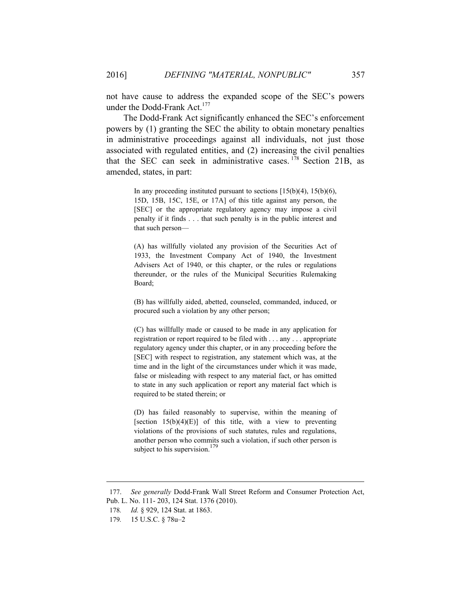not have cause to address the expanded scope of the SEC's powers under the Dodd-Frank Act.<sup>177</sup>

The Dodd-Frank Act significantly enhanced the SEC's enforcement powers by (1) granting the SEC the ability to obtain monetary penalties in administrative proceedings against all individuals, not just those associated with regulated entities, and (2) increasing the civil penalties that the SEC can seek in administrative cases.  $178$  Section 21B, as amended, states, in part:

> In any proceeding instituted pursuant to sections  $[15(b)(4), 15(b)(6),$ 15D, 15B, 15C, 15E, or 17A] of this title against any person, the [SEC] or the appropriate regulatory agency may impose a civil penalty if it finds . . . that such penalty is in the public interest and that such person—

> (A) has willfully violated any provision of the Securities Act of 1933, the Investment Company Act of 1940, the Investment Advisers Act of 1940, or this chapter, or the rules or regulations thereunder, or the rules of the Municipal Securities Rulemaking Board;

> (B) has willfully aided, abetted, counseled, commanded, induced, or procured such a violation by any other person;

> (C) has willfully made or caused to be made in any application for registration or report required to be filed with . . . any . . . appropriate regulatory agency under this chapter, or in any proceeding before the [SEC] with respect to registration, any statement which was, at the time and in the light of the circumstances under which it was made, false or misleading with respect to any material fact, or has omitted to state in any such application or report any material fact which is required to be stated therein; or

> (D) has failed reasonably to supervise, within the meaning of [section  $15(b)(4)(E)$ ] of this title, with a view to preventing violations of the provisions of such statutes, rules and regulations, another person who commits such a violation, if such other person is subject to his supervision.<sup>179</sup>

<sup>177.</sup> *See generally* Dodd-Frank Wall Street Reform and Consumer Protection Act, Pub. L. No. 111- 203, 124 Stat. 1376 (2010).

<sup>178</sup>*. Id.* § 929, 124 Stat. at 1863.

<sup>179</sup>*.* 15 U.S.C. § 78u–2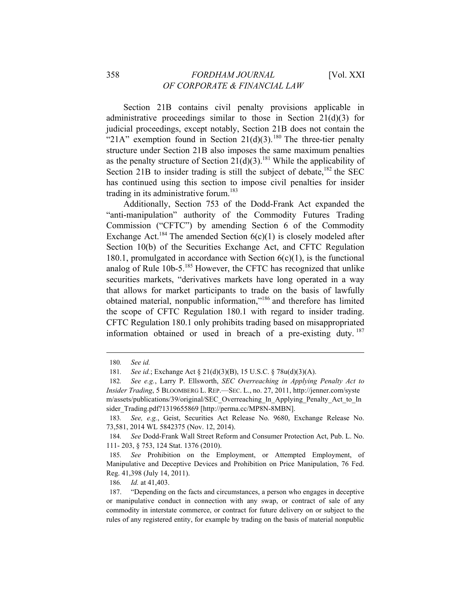## 358 *FORDHAM JOURNAL* [Vol. XXI *OF CORPORATE & FINANCIAL LAW*

Section 21B contains civil penalty provisions applicable in administrative proceedings similar to those in Section  $21(d)(3)$  for judicial proceedings, except notably, Section 21B does not contain the "21A" exemption found in Section 21(d)(3).<sup>180</sup> The three-tier penalty structure under Section 21B also imposes the same maximum penalties as the penalty structure of Section 21(d)(3).<sup>181</sup> While the applicability of Section 21B to insider trading is still the subject of debate,  $182$  the SEC has continued using this section to impose civil penalties for insider trading in its administrative forum.<sup>183</sup>

Additionally, Section 753 of the Dodd-Frank Act expanded the "anti-manipulation" authority of the Commodity Futures Trading Commission ("CFTC") by amending Section 6 of the Commodity Exchange Act.<sup>184</sup> The amended Section  $6(c)(1)$  is closely modeled after Section 10(b) of the Securities Exchange Act, and CFTC Regulation 180.1, promulgated in accordance with Section  $6(c)(1)$ , is the functional analog of Rule  $10b-5$ <sup>185</sup> However, the CFTC has recognized that unlike securities markets, "derivatives markets have long operated in a way that allows for market participants to trade on the basis of lawfully obtained material, nonpublic information,"186 and therefore has limited the scope of CFTC Regulation 180.1 with regard to insider trading. CFTC Regulation 180.1 only prohibits trading based on misappropriated information obtained or used in breach of a pre-existing duty.  $187$ 

 $\overline{a}$ 

186*. Id.* at 41,403.

<sup>180</sup>*. See id.*

<sup>181</sup>*. See id.*; Exchange Act § 21(d)(3)(B), 15 U.S.C. § 78u(d)(3)(A).

<sup>182</sup>*. See e.g.*, Larry P. Ellsworth, *SEC Overreaching in Applying Penalty Act to Insider Trading*, 5 BLOOMBERG L. REP.—SEC. L., no. 27, 2011, http://jenner.com/syste m/assets/publications/39/original/SEC\_Overreaching\_In\_Applying\_Penalty\_Act\_to\_In sider\_Trading.pdf?1319655869 [http://perma.cc/MP8N-8MBN].

<sup>183</sup>*. See, e.g.*, Geist, Securities Act Release No. 9680, Exchange Release No. 73,581, 2014 WL 5842375 (Nov. 12, 2014).

<sup>184</sup>*. See* Dodd-Frank Wall Street Reform and Consumer Protection Act, Pub. L. No. 111- 203, § 753, 124 Stat. 1376 (2010).

<sup>185</sup>*. See* Prohibition on the Employment, or Attempted Employment, of Manipulative and Deceptive Devices and Prohibition on Price Manipulation, 76 Fed. Reg. 41,398 (July 14, 2011).

<sup>187. &</sup>quot;Depending on the facts and circumstances, a person who engages in deceptive or manipulative conduct in connection with any swap, or contract of sale of any commodity in interstate commerce, or contract for future delivery on or subject to the rules of any registered entity, for example by trading on the basis of material nonpublic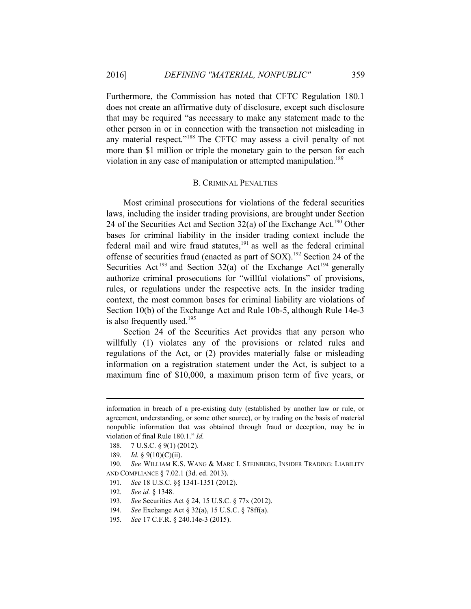Furthermore, the Commission has noted that CFTC Regulation 180.1 does not create an affirmative duty of disclosure, except such disclosure that may be required "as necessary to make any statement made to the other person in or in connection with the transaction not misleading in any material respect."188 The CFTC may assess a civil penalty of not more than \$1 million or triple the monetary gain to the person for each violation in any case of manipulation or attempted manipulation.<sup>189</sup>

#### B. CRIMINAL PENALTIES

Most criminal prosecutions for violations of the federal securities laws, including the insider trading provisions, are brought under Section 24 of the Securities Act and Section  $32(a)$  of the Exchange Act.<sup>190</sup> Other bases for criminal liability in the insider trading context include the federal mail and wire fraud statutes, $191$  as well as the federal criminal offense of securities fraud (enacted as part of SOX).<sup>192</sup> Section 24 of the Securities Act<sup>193</sup> and Section 32(a) of the Exchange Act<sup>194</sup> generally authorize criminal prosecutions for "willful violations" of provisions, rules, or regulations under the respective acts. In the insider trading context, the most common bases for criminal liability are violations of Section 10(b) of the Exchange Act and Rule 10b-5, although Rule 14e-3 is also frequently used.<sup>195</sup>

Section 24 of the Securities Act provides that any person who willfully (1) violates any of the provisions or related rules and regulations of the Act, or (2) provides materially false or misleading information on a registration statement under the Act, is subject to a maximum fine of \$10,000, a maximum prison term of five years, or

information in breach of a pre-existing duty (established by another law or rule, or agreement, understanding, or some other source), or by trading on the basis of material nonpublic information that was obtained through fraud or deception, may be in violation of final Rule 180.1." *Id.*

<sup>188. 7</sup> U.S.C. § 9(1) (2012).

<sup>189</sup>*. Id.* § 9(10)(C)(ii).

<sup>190</sup>*. See* WILLIAM K.S. WANG & MARC I. STEINBERG, INSIDER TRADING: LIABILITY AND COMPLIANCE § 7.02.1 (3d. ed. 2013).

<sup>191</sup>*. See* 18 U.S.C. §§ 1341-1351 (2012).

<sup>192</sup>*. See id.* § 1348.

<sup>193</sup>*. See* Securities Act § 24, 15 U.S.C. § 77x (2012).

<sup>194</sup>*. See* Exchange Act § 32(a), 15 U.S.C. § 78ff(a).

<sup>195</sup>*. See* 17 C.F.R. § 240.14e-3 (2015).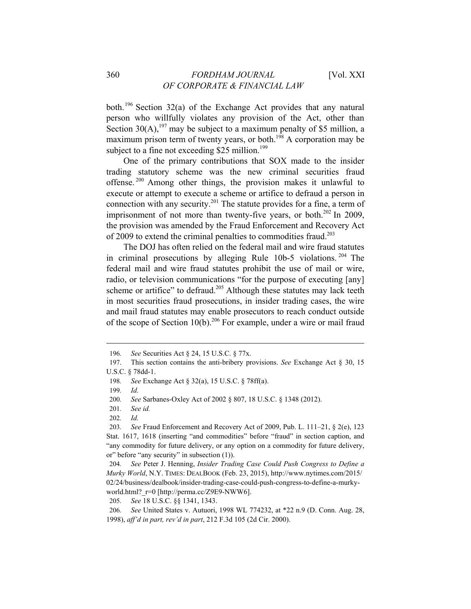both.196 Section 32(a) of the Exchange Act provides that any natural person who willfully violates any provision of the Act, other than Section 30(A),  $197$  may be subject to a maximum penalty of \$5 million, a maximum prison term of twenty years, or both.<sup>198</sup> A corporation may be subject to a fine not exceeding \$25 million.<sup>199</sup>

One of the primary contributions that SOX made to the insider trading statutory scheme was the new criminal securities fraud offense. 200 Among other things, the provision makes it unlawful to execute or attempt to execute a scheme or artifice to defraud a person in connection with any security.<sup>201</sup> The statute provides for a fine, a term of imprisonment of not more than twenty-five years, or both. $202 \text{ In } 2009$ , the provision was amended by the Fraud Enforcement and Recovery Act of 2009 to extend the criminal penalties to commodities fraud.203

The DOJ has often relied on the federal mail and wire fraud statutes in criminal prosecutions by alleging Rule 10b-5 violations. 204 The federal mail and wire fraud statutes prohibit the use of mail or wire, radio, or television communications "for the purpose of executing [any] scheme or artifice" to defraud.<sup>205</sup> Although these statutes may lack teeth in most securities fraud prosecutions, in insider trading cases, the wire and mail fraud statutes may enable prosecutors to reach conduct outside of the scope of Section  $10(b)$ <sup>206</sup> For example, under a wire or mail fraud

<sup>196</sup>*. See* Securities Act § 24, 15 U.S.C. § 77x.

<sup>197.</sup> This section contains the anti-bribery provisions. *See* Exchange Act § 30, 15 U.S.C. § 78dd-1.

<sup>198</sup>*. See* Exchange Act § 32(a), 15 U.S.C. § 78ff(a).

<sup>199</sup>*. Id.*

<sup>200</sup>*. See* Sarbanes-Oxley Act of 2002 § 807, 18 U.S.C. § 1348 (2012).

<sup>201</sup>*. See id.* 

<sup>202</sup>*. Id.*

<sup>203</sup>*. See* Fraud Enforcement and Recovery Act of 2009, Pub. L. 111–21, § 2(e), 123 Stat. 1617, 1618 (inserting "and commodities" before "fraud" in section caption, and "any commodity for future delivery, or any option on a commodity for future delivery, or" before "any security" in subsection (1)).

<sup>204</sup>*. See* Peter J. Henning, *Insider Trading Case Could Push Congress to Define a Murky World*, N.Y. TIMES: DEALBOOK (Feb. 23, 2015), http://www.nytimes.com/2015/ 02/24/business/dealbook/insider-trading-case-could-push-congress-to-define-a-murkyworld.html?  $r=0$  [http://perma.cc/Z9E9-NWW6].

<sup>205</sup>*. See* 18 U.S.C. §§ 1341, 1343.

<sup>206</sup>*. See* United States v. Autuori, 1998 WL 774232, at \*22 n.9 (D. Conn. Aug. 28, 1998), *aff'd in part, rev'd in part*, 212 F.3d 105 (2d Cir. 2000).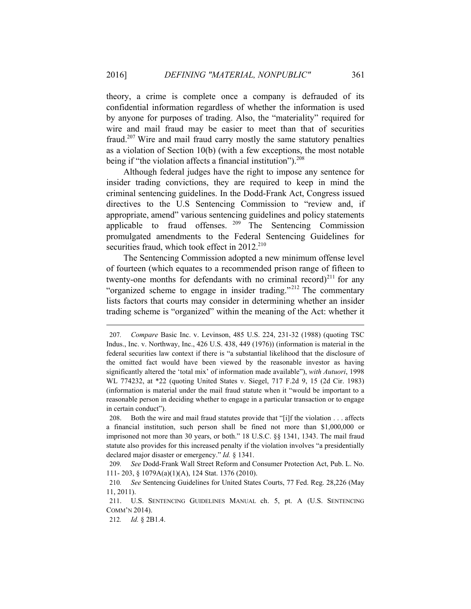theory, a crime is complete once a company is defrauded of its confidential information regardless of whether the information is used by anyone for purposes of trading. Also, the "materiality" required for wire and mail fraud may be easier to meet than that of securities fraud.207 Wire and mail fraud carry mostly the same statutory penalties as a violation of Section 10(b) (with a few exceptions, the most notable being if "the violation affects a financial institution"). $^{208}$ 

Although federal judges have the right to impose any sentence for insider trading convictions, they are required to keep in mind the criminal sentencing guidelines. In the Dodd-Frank Act, Congress issued directives to the U.S Sentencing Commission to "review and, if appropriate, amend" various sentencing guidelines and policy statements applicable to fraud offenses.  $209$  The Sentencing Commission promulgated amendments to the Federal Sentencing Guidelines for securities fraud, which took effect in  $2012^{210}$ 

The Sentencing Commission adopted a new minimum offense level of fourteen (which equates to a recommended prison range of fifteen to twenty-one months for defendants with no criminal record)<sup>211</sup> for any "organized scheme to engage in insider trading."<sup>212</sup> The commentary lists factors that courts may consider in determining whether an insider trading scheme is "organized" within the meaning of the Act: whether it

<sup>207</sup>*. Compare* Basic Inc. v. Levinson, 485 U.S. 224, 231-32 (1988) (quoting TSC Indus., Inc. v. Northway, Inc., 426 U.S. 438, 449 (1976)) (information is material in the federal securities law context if there is "a substantial likelihood that the disclosure of the omitted fact would have been viewed by the reasonable investor as having significantly altered the 'total mix' of information made available"), *with Autuori*, 1998 WL 774232, at \*22 (quoting United States v. Siegel, 717 F.2d 9, 15 (2d Cir. 1983) (information is material under the mail fraud statute when it "would be important to a reasonable person in deciding whether to engage in a particular transaction or to engage in certain conduct").

<sup>208.</sup> Both the wire and mail fraud statutes provide that "[i]f the violation . . . affects a financial institution, such person shall be fined not more than \$1,000,000 or imprisoned not more than 30 years, or both." 18 U.S.C. §§ 1341, 1343. The mail fraud statute also provides for this increased penalty if the violation involves "a presidentially declared major disaster or emergency." *Id.* § 1341.

<sup>209</sup>*. See* Dodd-Frank Wall Street Reform and Consumer Protection Act, Pub. L. No. 111- 203, § 1079A(a)(1)(A), 124 Stat. 1376 (2010).

<sup>210</sup>*. See* Sentencing Guidelines for United States Courts, 77 Fed. Reg. 28,226 (May 11, 2011).

<sup>211.</sup> U.S. SENTENCING GUIDELINES MANUAL ch. 5, pt. A (U.S. SENTENCING COMM'N 2014).

<sup>212</sup>*. Id.* § 2B1.4.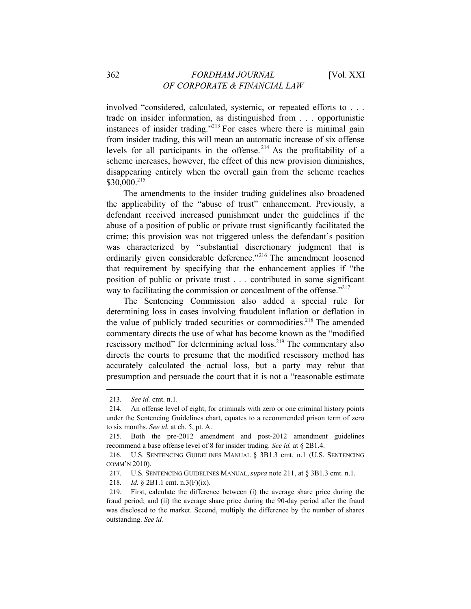involved "considered, calculated, systemic, or repeated efforts to . . . trade on insider information, as distinguished from . . . opportunistic instances of insider trading."213 For cases where there is minimal gain from insider trading, this will mean an automatic increase of six offense levels for all participants in the offense. 214 As the profitability of a scheme increases, however, the effect of this new provision diminishes, disappearing entirely when the overall gain from the scheme reaches  $$30,000.<sup>215</sup>$ 

The amendments to the insider trading guidelines also broadened the applicability of the "abuse of trust" enhancement. Previously, a defendant received increased punishment under the guidelines if the abuse of a position of public or private trust significantly facilitated the crime; this provision was not triggered unless the defendant's position was characterized by "substantial discretionary judgment that is ordinarily given considerable deference."<sup>216</sup> The amendment loosened that requirement by specifying that the enhancement applies if "the position of public or private trust . . . contributed in some significant way to facilitating the commission or concealment of the offense.<sup>2217</sup>

The Sentencing Commission also added a special rule for determining loss in cases involving fraudulent inflation or deflation in the value of publicly traded securities or commodities.<sup>218</sup> The amended commentary directs the use of what has become known as the "modified rescissory method" for determining actual loss.<sup>219</sup> The commentary also directs the courts to presume that the modified rescissory method has accurately calculated the actual loss, but a party may rebut that presumption and persuade the court that it is not a "reasonable estimate

 $\overline{a}$ 

218*. Id.* § 2B1.1 cmt. n.3(F)(ix).

<sup>213</sup>*. See id.* cmt. n.1.

<sup>214.</sup> An offense level of eight, for criminals with zero or one criminal history points under the Sentencing Guidelines chart, equates to a recommended prison term of zero to six months. *See id.* at ch. 5, pt. A.

<sup>215.</sup> Both the pre-2012 amendment and post-2012 amendment guidelines recommend a base offense level of 8 for insider trading. *See id.* at § 2B1.4.

<sup>216.</sup> U.S. SENTENCING GUIDELINES MANUAL § 3B1.3 cmt. n.1 (U.S. SENTENCING COMM'N 2010).

<sup>217.</sup> U.S. SENTENCING GUIDELINES MANUAL, *supra* note 211, at § 3B1.3 cmt. n.1.

<sup>219.</sup> First, calculate the difference between (i) the average share price during the fraud period; and (ii) the average share price during the 90-day period after the fraud was disclosed to the market. Second, multiply the difference by the number of shares outstanding. *See id.*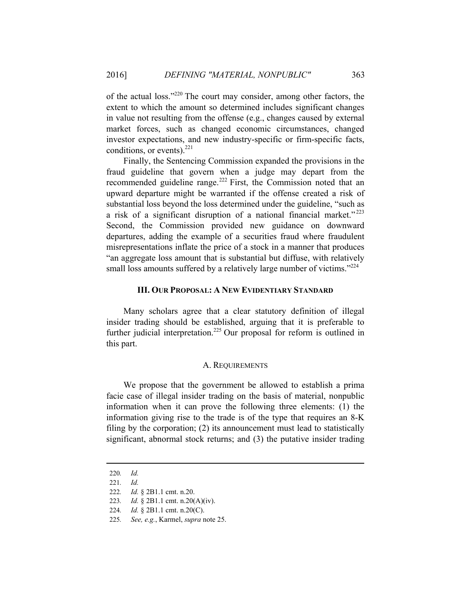of the actual loss."220 The court may consider, among other factors, the extent to which the amount so determined includes significant changes in value not resulting from the offense (e.g., changes caused by external market forces, such as changed economic circumstances, changed investor expectations, and new industry-specific or firm-specific facts, conditions, or events). $^{221}$ 

Finally, the Sentencing Commission expanded the provisions in the fraud guideline that govern when a judge may depart from the recommended guideline range.<sup>222</sup> First, the Commission noted that an upward departure might be warranted if the offense created a risk of substantial loss beyond the loss determined under the guideline, "such as a risk of a significant disruption of a national financial market." <sup>223</sup> Second, the Commission provided new guidance on downward departures, adding the example of a securities fraud where fraudulent misrepresentations inflate the price of a stock in a manner that produces "an aggregate loss amount that is substantial but diffuse, with relatively small loss amounts suffered by a relatively large number of victims."<sup>224</sup>

#### **III. OUR PROPOSAL: A NEW EVIDENTIARY STANDARD**

Many scholars agree that a clear statutory definition of illegal insider trading should be established, arguing that it is preferable to further judicial interpretation.<sup>225</sup> Our proposal for reform is outlined in this part.

#### A. REQUIREMENTS

We propose that the government be allowed to establish a prima facie case of illegal insider trading on the basis of material, nonpublic information when it can prove the following three elements: (1) the information giving rise to the trade is of the type that requires an 8-K filing by the corporation; (2) its announcement must lead to statistically significant, abnormal stock returns; and (3) the putative insider trading

<sup>220</sup>*. Id.*

<sup>221</sup>*. Id.*

<sup>222</sup>*. Id.* § 2B1.1 cmt. n.20.

<sup>223</sup>*. Id.* § 2B1.1 cmt. n.20(A)(iv).

<sup>224</sup>*. Id.* § 2B1.1 cmt. n.20(C).

<sup>225</sup>*. See, e.g.*, Karmel, *supra* note 25.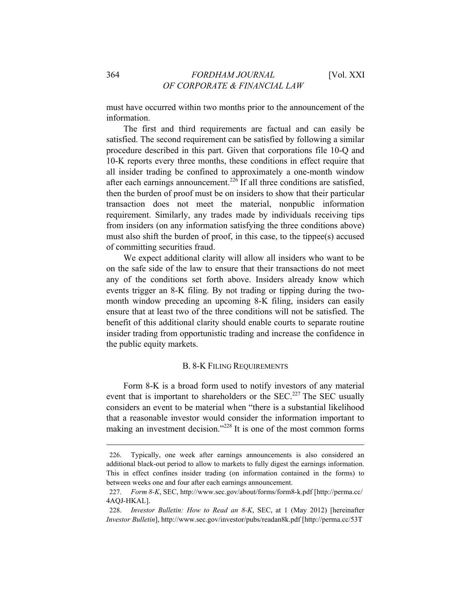must have occurred within two months prior to the announcement of the information.

The first and third requirements are factual and can easily be satisfied. The second requirement can be satisfied by following a similar procedure described in this part. Given that corporations file 10-Q and 10-K reports every three months, these conditions in effect require that all insider trading be confined to approximately a one-month window after each earnings announcement.<sup>226</sup> If all three conditions are satisfied, then the burden of proof must be on insiders to show that their particular transaction does not meet the material, nonpublic information requirement. Similarly, any trades made by individuals receiving tips from insiders (on any information satisfying the three conditions above) must also shift the burden of proof, in this case, to the tippee(s) accused of committing securities fraud.

We expect additional clarity will allow all insiders who want to be on the safe side of the law to ensure that their transactions do not meet any of the conditions set forth above. Insiders already know which events trigger an 8-K filing. By not trading or tipping during the twomonth window preceding an upcoming 8-K filing, insiders can easily ensure that at least two of the three conditions will not be satisfied. The benefit of this additional clarity should enable courts to separate routine insider trading from opportunistic trading and increase the confidence in the public equity markets.

#### B. 8-K FILING REQUIREMENTS

Form 8-K is a broad form used to notify investors of any material event that is important to shareholders or the SEC.<sup>227</sup> The SEC usually considers an event to be material when "there is a substantial likelihood that a reasonable investor would consider the information important to making an investment decision."228 It is one of the most common forms

<sup>226.</sup> Typically, one week after earnings announcements is also considered an additional black-out period to allow to markets to fully digest the earnings information. This in effect confines insider trading (on information contained in the forms) to between weeks one and four after each earnings announcement.

<sup>227.</sup> *Form 8-K*, SEC, http://www.sec.gov/about/forms/form8-k.pdf [http://perma.cc/ 4AQJ-HKAL].

<sup>228.</sup> *Investor Bulletin: How to Read an 8-K*, SEC, at 1 (May 2012) [hereinafter *Investor Bulletin*], http://www.sec.gov/investor/pubs/readan8k.pdf [http://perma.cc/53T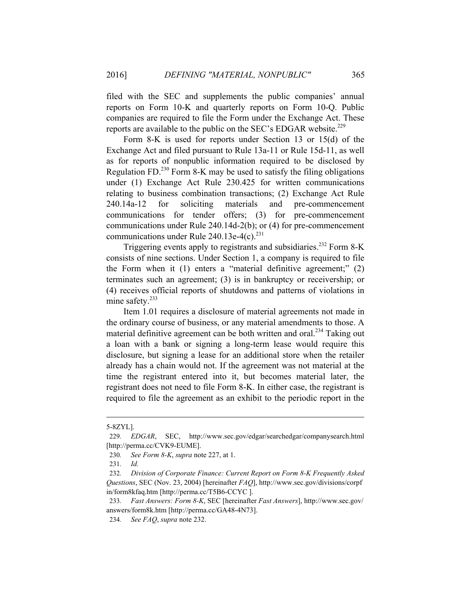filed with the SEC and supplements the public companies' annual reports on Form 10-K and quarterly reports on Form 10-Q. Public companies are required to file the Form under the Exchange Act. These reports are available to the public on the SEC's EDGAR website.<sup>229</sup>

Form 8-K is used for reports under Section 13 or 15(d) of the Exchange Act and filed pursuant to Rule 13a-11 or Rule 15d-11, as well as for reports of nonpublic information required to be disclosed by Regulation FD.<sup>230</sup> Form 8-K may be used to satisfy the filing obligations under (1) Exchange Act Rule 230.425 for written communications relating to business combination transactions; (2) Exchange Act Rule 240.14a-12 for soliciting materials and pre-commencement communications for tender offers; (3) for pre-commencement communications under Rule 240.14d-2(b); or (4) for pre-commencement communications under Rule 240.13e-4(c). $^{231}$ 

Triggering events apply to registrants and subsidiaries.<sup>232</sup> Form 8-K consists of nine sections. Under Section 1, a company is required to file the Form when it (1) enters a "material definitive agreement;" (2) terminates such an agreement; (3) is in bankruptcy or receivership; or (4) receives official reports of shutdowns and patterns of violations in mine safety.<sup>233</sup>

Item 1.01 requires a disclosure of material agreements not made in the ordinary course of business, or any material amendments to those. A material definitive agreement can be both written and oral.<sup>234</sup> Taking out a loan with a bank or signing a long-term lease would require this disclosure, but signing a lease for an additional store when the retailer already has a chain would not. If the agreement was not material at the time the registrant entered into it, but becomes material later, the registrant does not need to file Form 8-K. In either case, the registrant is required to file the agreement as an exhibit to the periodic report in the

<sup>5-8</sup>ZYL].

<sup>229</sup>*. EDGAR*, SEC, http://www.sec.gov/edgar/searchedgar/companysearch.html [http://perma.cc/CVK9-EUME].

<sup>230</sup>*. See Form 8-K*, *supra* note 227, at 1.

<sup>231</sup>*. Id.* 

<sup>232</sup>*. Division of Corporate Finance: Current Report on Form 8-K Frequently Asked Questions*, SEC (Nov. 23, 2004) [hereinafter *FAQ*], http://www.sec.gov/divisions/corpf in/form8kfaq.htm [http://perma.cc/T5B6-CCYC ].

<sup>233</sup>*. Fast Answers: Form 8-K*, SEC [hereinafter *Fast Answers*], http://www.sec.gov/ answers/form8k.htm [http://perma.cc/GA48-4N73].

<sup>234</sup>*. See FAQ*, *supra* note 232.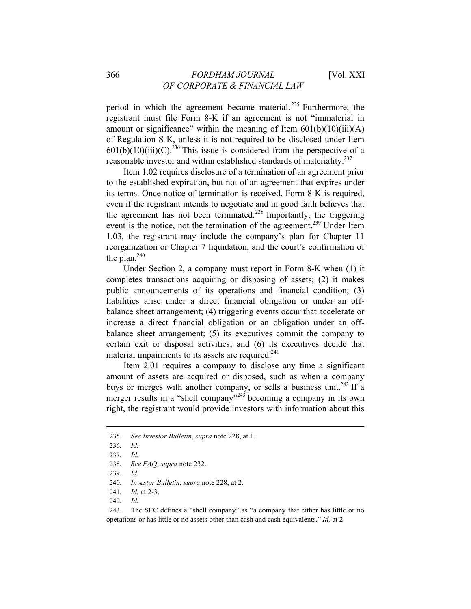period in which the agreement became material. 235 Furthermore, the registrant must file Form 8-K if an agreement is not "immaterial in amount or significance" within the meaning of Item  $601(b)(10)(iii)(A)$ of Regulation S-K, unless it is not required to be disclosed under Item  $601(b)(10)(iii)(C).^{236}$  This issue is considered from the perspective of a reasonable investor and within established standards of materiality.<sup>237</sup>

Item 1.02 requires disclosure of a termination of an agreement prior to the established expiration, but not of an agreement that expires under its terms. Once notice of termination is received, Form 8-K is required, even if the registrant intends to negotiate and in good faith believes that the agreement has not been terminated.<sup>238</sup> Importantly, the triggering event is the notice, not the termination of the agreement.<sup>239</sup> Under Item 1.03, the registrant may include the company's plan for Chapter 11 reorganization or Chapter 7 liquidation, and the court's confirmation of the plan. $240$ 

Under Section 2, a company must report in Form 8-K when (1) it completes transactions acquiring or disposing of assets; (2) it makes public announcements of its operations and financial condition; (3) liabilities arise under a direct financial obligation or under an offbalance sheet arrangement; (4) triggering events occur that accelerate or increase a direct financial obligation or an obligation under an offbalance sheet arrangement; (5) its executives commit the company to certain exit or disposal activities; and (6) its executives decide that material impairments to its assets are required. $241$ 

Item 2.01 requires a company to disclose any time a significant amount of assets are acquired or disposed, such as when a company buys or merges with another company, or sells a business unit.<sup>242</sup> If a merger results in a "shell company"<sup>243</sup> becoming a company in its own right, the registrant would provide investors with information about this

<sup>235</sup>*. See Investor Bulletin*, *supra* note 228, at 1.

<sup>236</sup>*. Id.* 

<sup>237</sup>*. Id.*

<sup>238</sup>*. See FAQ*, *supra* note 232.

<sup>239</sup>*. Id.*

<sup>240.</sup> *Investor Bulletin*, *supra* note 228, at 2.

<sup>241</sup>*. Id.* at 2-3.

<sup>242</sup>*. Id.* 

<sup>243.</sup> The SEC defines a "shell company" as "a company that either has little or no operations or has little or no assets other than cash and cash equivalents." *Id.* at 2.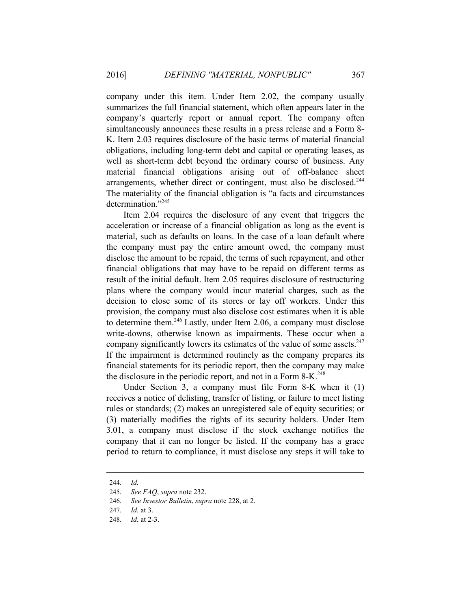company under this item. Under Item 2.02, the company usually summarizes the full financial statement, which often appears later in the company's quarterly report or annual report. The company often simultaneously announces these results in a press release and a Form 8- K. Item 2.03 requires disclosure of the basic terms of material financial obligations, including long-term debt and capital or operating leases, as well as short-term debt beyond the ordinary course of business. Any material financial obligations arising out of off-balance sheet arrangements, whether direct or contingent, must also be disclosed.<sup>244</sup> The materiality of the financial obligation is "a facts and circumstances determination."<sup>245</sup>

Item 2.04 requires the disclosure of any event that triggers the acceleration or increase of a financial obligation as long as the event is material, such as defaults on loans. In the case of a loan default where the company must pay the entire amount owed, the company must disclose the amount to be repaid, the terms of such repayment, and other financial obligations that may have to be repaid on different terms as result of the initial default. Item 2.05 requires disclosure of restructuring plans where the company would incur material charges, such as the decision to close some of its stores or lay off workers. Under this provision, the company must also disclose cost estimates when it is able to determine them.<sup>246</sup> Lastly, under Item 2.06, a company must disclose write-downs, otherwise known as impairments. These occur when a company significantly lowers its estimates of the value of some assets. $247$ If the impairment is determined routinely as the company prepares its financial statements for its periodic report, then the company may make the disclosure in the periodic report, and not in a Form 8-K.<sup>248</sup>

Under Section 3, a company must file Form 8-K when it (1) receives a notice of delisting, transfer of listing, or failure to meet listing rules or standards; (2) makes an unregistered sale of equity securities; or (3) materially modifies the rights of its security holders. Under Item 3.01, a company must disclose if the stock exchange notifies the company that it can no longer be listed. If the company has a grace period to return to compliance, it must disclose any steps it will take to

<sup>244</sup>*. Id.*

<sup>245</sup>*. See FAQ*, *supra* note 232.

<sup>246</sup>*. See Investor Bulletin*, *supra* note 228, at 2.

<sup>247</sup>*. Id.* at 3.

<sup>248</sup>*. Id.* at 2-3.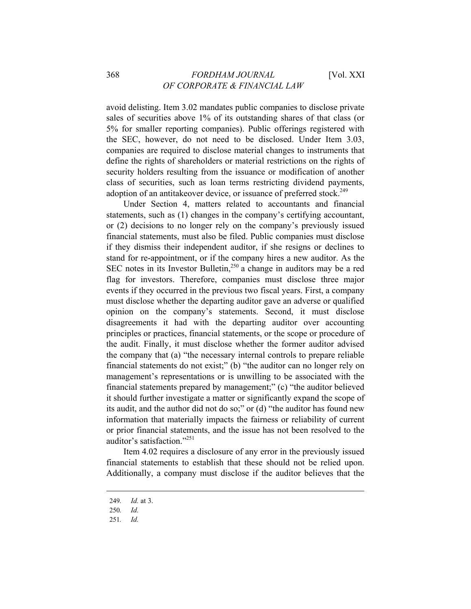# 368 *FORDHAM JOURNAL* [Vol. XXI *OF CORPORATE & FINANCIAL LAW*

avoid delisting. Item 3.02 mandates public companies to disclose private sales of securities above 1% of its outstanding shares of that class (or 5% for smaller reporting companies). Public offerings registered with the SEC, however, do not need to be disclosed. Under Item 3.03, companies are required to disclose material changes to instruments that define the rights of shareholders or material restrictions on the rights of security holders resulting from the issuance or modification of another class of securities, such as loan terms restricting dividend payments, adoption of an antitakeover device, or issuance of preferred stock.<sup>249</sup>

Under Section 4, matters related to accountants and financial statements, such as (1) changes in the company's certifying accountant, or (2) decisions to no longer rely on the company's previously issued financial statements, must also be filed. Public companies must disclose if they dismiss their independent auditor, if she resigns or declines to stand for re-appointment, or if the company hires a new auditor. As the SEC notes in its Investor Bulletin,<sup>250</sup> a change in auditors may be a red flag for investors. Therefore, companies must disclose three major events if they occurred in the previous two fiscal years. First, a company must disclose whether the departing auditor gave an adverse or qualified opinion on the company's statements. Second, it must disclose disagreements it had with the departing auditor over accounting principles or practices, financial statements, or the scope or procedure of the audit. Finally, it must disclose whether the former auditor advised the company that (a) "the necessary internal controls to prepare reliable financial statements do not exist;" (b) "the auditor can no longer rely on management's representations or is unwilling to be associated with the financial statements prepared by management;" (c) "the auditor believed it should further investigate a matter or significantly expand the scope of its audit, and the author did not do so;" or (d) "the auditor has found new information that materially impacts the fairness or reliability of current or prior financial statements, and the issue has not been resolved to the auditor's satisfaction."251

Item 4.02 requires a disclosure of any error in the previously issued financial statements to establish that these should not be relied upon. Additionally, a company must disclose if the auditor believes that the

<sup>249</sup>*. Id.* at 3.

<sup>250</sup>*. Id.*

<sup>251</sup>*. Id.*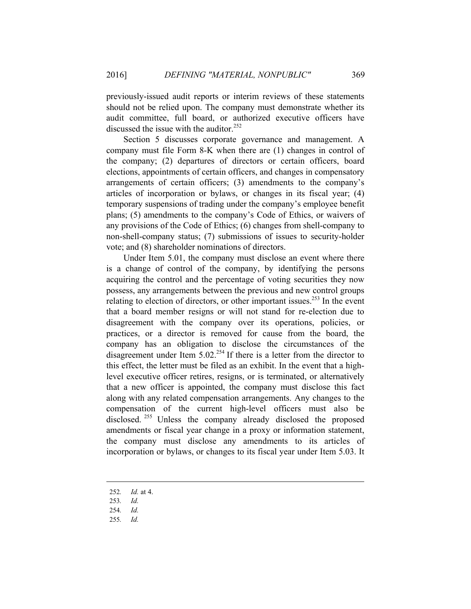previously-issued audit reports or interim reviews of these statements should not be relied upon. The company must demonstrate whether its audit committee, full board, or authorized executive officers have discussed the issue with the auditor.<sup>252</sup>

Section 5 discusses corporate governance and management. A company must file Form 8-K when there are (1) changes in control of the company; (2) departures of directors or certain officers, board elections, appointments of certain officers, and changes in compensatory arrangements of certain officers; (3) amendments to the company's articles of incorporation or bylaws, or changes in its fiscal year; (4) temporary suspensions of trading under the company's employee benefit plans; (5) amendments to the company's Code of Ethics, or waivers of any provisions of the Code of Ethics; (6) changes from shell-company to non-shell-company status; (7) submissions of issues to security-holder vote; and (8) shareholder nominations of directors.

Under Item 5.01, the company must disclose an event where there is a change of control of the company, by identifying the persons acquiring the control and the percentage of voting securities they now possess, any arrangements between the previous and new control groups relating to election of directors, or other important issues.<sup>253</sup> In the event that a board member resigns or will not stand for re-election due to disagreement with the company over its operations, policies, or practices, or a director is removed for cause from the board, the company has an obligation to disclose the circumstances of the disagreement under Item  $5.02^{254}$  If there is a letter from the director to this effect, the letter must be filed as an exhibit. In the event that a highlevel executive officer retires, resigns, or is terminated, or alternatively that a new officer is appointed, the company must disclose this fact along with any related compensation arrangements. Any changes to the compensation of the current high-level officers must also be disclosed.<sup>255</sup> Unless the company already disclosed the proposed amendments or fiscal year change in a proxy or information statement, the company must disclose any amendments to its articles of incorporation or bylaws, or changes to its fiscal year under Item 5.03. It

- 252*. Id.* at 4.
- 253*. Id.*
- 254*. Id.*

 $\overline{a}$ 

255*. Id.*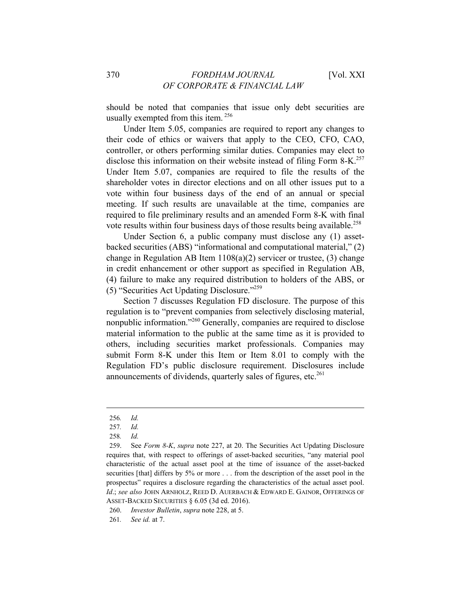should be noted that companies that issue only debt securities are usually exempted from this item. 256

Under Item 5.05, companies are required to report any changes to their code of ethics or waivers that apply to the CEO, CFO, CAO, controller, or others performing similar duties. Companies may elect to disclose this information on their website instead of filing Form  $8-K$ <sup>257</sup> Under Item 5.07, companies are required to file the results of the shareholder votes in director elections and on all other issues put to a vote within four business days of the end of an annual or special meeting. If such results are unavailable at the time, companies are required to file preliminary results and an amended Form 8-K with final vote results within four business days of those results being available.<sup>258</sup>

Under Section 6, a public company must disclose any (1) assetbacked securities (ABS) "informational and computational material," (2) change in Regulation AB Item 1108(a)(2) servicer or trustee, (3) change in credit enhancement or other support as specified in Regulation AB, (4) failure to make any required distribution to holders of the ABS, or (5) "Securities Act Updating Disclosure."259

Section 7 discusses Regulation FD disclosure. The purpose of this regulation is to "prevent companies from selectively disclosing material, nonpublic information."<sup>260</sup> Generally, companies are required to disclose material information to the public at the same time as it is provided to others, including securities market professionals. Companies may submit Form 8-K under this Item or Item 8.01 to comply with the Regulation FD's public disclosure requirement. Disclosures include announcements of dividends, quarterly sales of figures, etc. $^{261}$ 

<sup>256</sup>*. Id.*

<sup>257</sup>*. Id.*

<sup>258</sup>*. Id.*

<sup>259.</sup> See *Form 8-K*, *supra* note 227, at 20. The Securities Act Updating Disclosure requires that, with respect to offerings of asset-backed securities, "any material pool characteristic of the actual asset pool at the time of issuance of the asset-backed securities [that] differs by 5% or more . . . from the description of the asset pool in the prospectus" requires a disclosure regarding the characteristics of the actual asset pool. *Id*.; *see also* JOHN ARNHOLZ, REED D. AUERBACH & EDWARD E. GAINOR, OFFERINGS OF ASSET-BACKED SECURITIES § 6.05 (3d ed. 2016).

<sup>260.</sup> *Investor Bulletin*, *supra* note 228, at 5.

<sup>261</sup>*. See id.* at 7.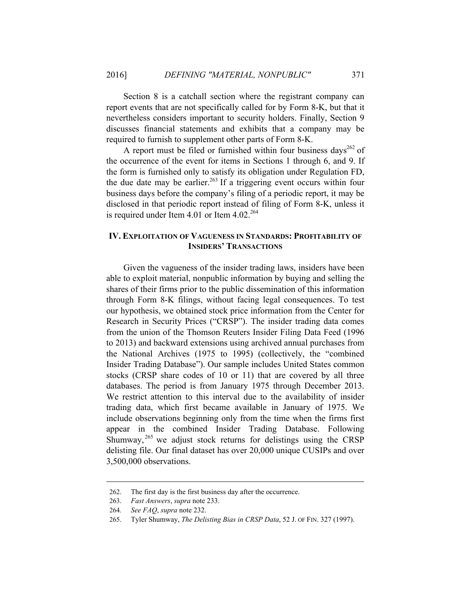Section 8 is a catchall section where the registrant company can report events that are not specifically called for by Form 8-K, but that it nevertheless considers important to security holders. Finally, Section 9 discusses financial statements and exhibits that a company may be required to furnish to supplement other parts of Form 8-K.

A report must be filed or furnished within four business days<sup>262</sup> of the occurrence of the event for items in Sections 1 through 6, and 9. If the form is furnished only to satisfy its obligation under Regulation FD, the due date may be earlier.<sup>263</sup> If a triggering event occurs within four business days before the company's filing of a periodic report, it may be disclosed in that periodic report instead of filing of Form 8-K, unless it is required under Item 4.01 or Item  $4.02^{264}$ 

# **IV. EXPLOITATION OF VAGUENESS IN STANDARDS: PROFITABILITY OF INSIDERS' TRANSACTIONS**

Given the vagueness of the insider trading laws, insiders have been able to exploit material, nonpublic information by buying and selling the shares of their firms prior to the public dissemination of this information through Form 8-K filings, without facing legal consequences. To test our hypothesis, we obtained stock price information from the Center for Research in Security Prices ("CRSP"). The insider trading data comes from the union of the Thomson Reuters Insider Filing Data Feed (1996 to 2013) and backward extensions using archived annual purchases from the National Archives (1975 to 1995) (collectively, the "combined Insider Trading Database"). Our sample includes United States common stocks (CRSP share codes of 10 or 11) that are covered by all three databases. The period is from January 1975 through December 2013. We restrict attention to this interval due to the availability of insider trading data, which first became available in January of 1975. We include observations beginning only from the time when the firms first appear in the combined Insider Trading Database. Following Shumway,  $^{265}$  we adjust stock returns for delistings using the CRSP delisting file. Our final dataset has over 20,000 unique CUSIPs and over 3,500,000 observations.

<sup>262.</sup> The first day is the first business day after the occurrence.

<sup>263.</sup> *Fast Answers*, *supra* note 233.

<sup>264</sup>*. See FAQ*, *supra* note 232.

<sup>265.</sup> Tyler Shumway, *The Delisting Bias in CRSP Data*, 52 J. OF FIN. 327 (1997).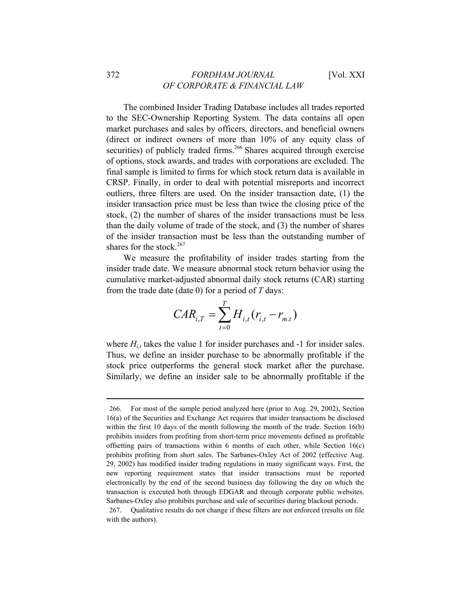The combined Insider Trading Database includes all trades reported to the SEC-Ownership Reporting System. The data contains all open market purchases and sales by officers, directors, and beneficial owners (direct or indirect owners of more than 10% of any equity class of securities) of publicly traded firms.<sup>266</sup> Shares acquired through exercise of options, stock awards, and trades with corporations are excluded. The final sample is limited to firms for which stock return data is available in CRSP. Finally, in order to deal with potential misreports and incorrect outliers, three filters are used. On the insider transaction date, (1) the insider transaction price must be less than twice the closing price of the stock, (2) the number of shares of the insider transactions must be less than the daily volume of trade of the stock, and (3) the number of shares of the insider transaction must be less than the outstanding number of shares for the stock.<sup>267</sup>

We measure the profitability of insider trades starting from the insider trade date. We measure abnormal stock return behavior using the cumulative market-adjusted abnormal daily stock returns (CAR) starting from the trade date (date 0) for a period of *T* days:

$$
CAR_{i,T} = \sum_{t=0}^{T} H_{i,t}(r_{i,t} - r_{m,t})
$$

where  $H_{i,t}$  takes the value 1 for insider purchases and -1 for insider sales. Thus, we define an insider purchase to be abnormally profitable if the stock price outperforms the general stock market after the purchase. Similarly, we define an insider sale to be abnormally profitable if the

<sup>266.</sup> For most of the sample period analyzed here (prior to Aug. 29, 2002), Section 16(a) of the Securities and Exchange Act requires that insider transactions be disclosed within the first 10 days of the month following the month of the trade. Section 16(b) prohibits insiders from profiting from short-term price movements defined as profitable offsetting pairs of transactions within 6 months of each other, while Section  $16(c)$ prohibits profiting from short sales. The Sarbanes-Oxley Act of 2002 (effective Aug. 29, 2002) has modified insider trading regulations in many significant ways. First, the new reporting requirement states that insider transactions must be reported electronically by the end of the second business day following the day on which the transaction is executed both through EDGAR and through corporate public websites. Sarbanes-Oxley also prohibits purchase and sale of securities during blackout periods.

<sup>267.</sup> Qualitative results do not change if these filters are not enforced (results on file with the authors).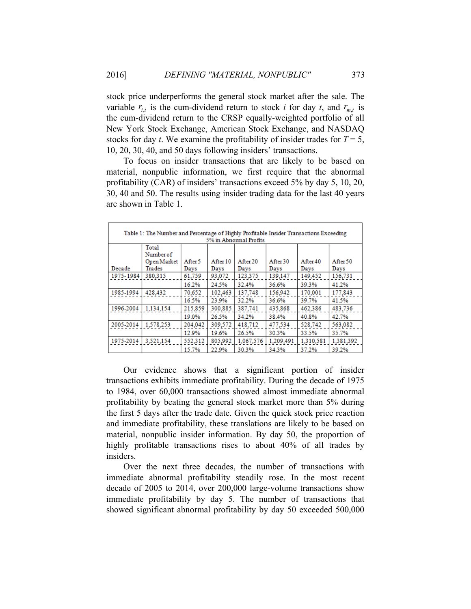stock price underperforms the general stock market after the sale. The variable  $r_{i,t}$  is the cum-dividend return to stock *i* for day *t*, and  $r_{m,t}$  is the cum-dividend return to the CRSP equally-weighted portfolio of all New York Stock Exchange, American Stock Exchange, and NASDAQ stocks for day *t*. We examine the profitability of insider trades for  $T = 5$ , 10, 20, 30, 40, and 50 days following insiders' transactions.

To focus on insider transactions that are likely to be based on material, nonpublic information, we first require that the abnormal profitability (CAR) of insiders' transactions exceed 5% by day 5, 10, 20, 30, 40 and 50. The results using insider trading data for the last 40 years are shown in Table 1.

| Table 1: The Number and Percentage of Highly Profitable Insider Transactions Exceeding<br>5% in Abnormal Profits |                                             |                 |                  |                  |                  |                  |                  |  |
|------------------------------------------------------------------------------------------------------------------|---------------------------------------------|-----------------|------------------|------------------|------------------|------------------|------------------|--|
| Decade                                                                                                           | Total<br>Number of<br>Open Market<br>Trades | After 5<br>Days | After 10<br>Days | After 20<br>Days | After 30<br>Days | After 40<br>Days | After 50<br>Days |  |
| 1975-1984                                                                                                        | 380.315                                     | 61,759          | 93,072           | 123,375          | 139,147          | 149,452          | 156,731          |  |
|                                                                                                                  |                                             | 16.2%           | 24.5%            | 32.4%            | 36.6%            | 39.3%            | 41.2%            |  |
| 1985-1994                                                                                                        | 428,432                                     | 70.652          | 102.463          | 137.748          | 156.942          | 170,001          | 177,843          |  |
|                                                                                                                  |                                             | 16.5%           | 23.9%            | 32.2%            | 36.6%            | 39.7%            | 41.5%            |  |
| 1996-2004                                                                                                        | 1.134.154                                   | 215,859         | 300,885          | 387,741          | 435,868          | 462.386          | 483,736          |  |
|                                                                                                                  |                                             | 19.0%           | 26.5%            | 34.2%            | 38.4%            | 40.8%            | 42.7%            |  |
| 2005-2014                                                                                                        | 1.578.253                                   | 204.042         | 309.572          | 418,712          | 477,534          | 528,742          | 563,082          |  |
|                                                                                                                  |                                             | 12.9%           | 19.6%            | 26.5%            | 30.3%            | 33.5%            | 35.7%            |  |
| 1975-2014                                                                                                        | 3,521,154                                   | 552,312         | 805,992          | 1,067,576        | 1,209,491        | 1,310,581        | 1,381,392        |  |
|                                                                                                                  |                                             | 15.7%           | 22.9%            | 30.3%            | 34.3%            | 37.2%            | 39.2%            |  |

Our evidence shows that a significant portion of insider transactions exhibits immediate profitability. During the decade of 1975 to 1984, over 60,000 transactions showed almost immediate abnormal profitability by beating the general stock market more than 5% during the first 5 days after the trade date. Given the quick stock price reaction and immediate profitability, these translations are likely to be based on material, nonpublic insider information. By day 50, the proportion of highly profitable transactions rises to about 40% of all trades by insiders.

Over the next three decades, the number of transactions with immediate abnormal profitability steadily rose. In the most recent decade of 2005 to 2014, over 200,000 large-volume transactions show immediate profitability by day 5. The number of transactions that showed significant abnormal profitability by day 50 exceeded 500,000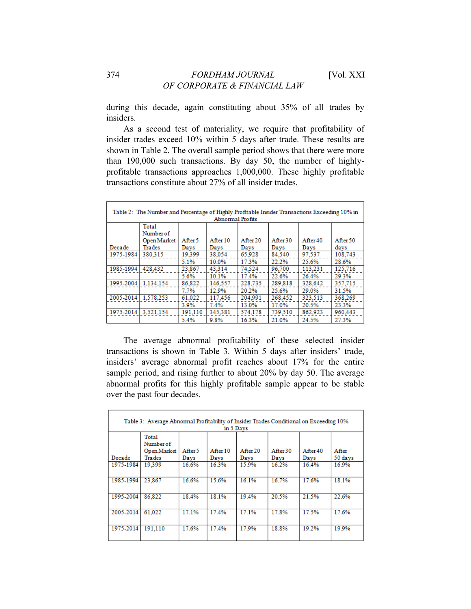during this decade, again constituting about 35% of all trades by insiders.

As a second test of materiality, we require that profitability of insider trades exceed 10% within 5 days after trade. These results are shown in Table 2. The overall sample period shows that there were more than 190,000 such transactions. By day 50, the number of highlyprofitable transactions approaches 1,000,000. These highly profitable transactions constitute about 27% of all insider trades.

| Table 2: The Number and Percentage of Highly Profitable Insider Transactions Exceeding 10% in |             |         |          |          |          |          |          |
|-----------------------------------------------------------------------------------------------|-------------|---------|----------|----------|----------|----------|----------|
| Abnormal Profits                                                                              |             |         |          |          |          |          |          |
|                                                                                               | Total       |         |          |          |          |          |          |
|                                                                                               | Number of   |         |          |          |          |          |          |
|                                                                                               | Open Market | After 5 | After 10 | After 20 | After 30 | After 40 | After 50 |
| Decade                                                                                        | Trades      | Days    | Davs     | Days     | Days     | Days     | days     |
| 1975-1984                                                                                     | 380.315     | 19.399  | 38,054   | 65.928   | 84.540   | 97.537   | 108.743  |
|                                                                                               |             | 5.1%    | 10.0%    | 17.3%    | 22.2%    | 25.6%    | 28.6%    |
| 1985-1994                                                                                     | 428.432     | 23.867  | 43.314   | 74.524   | 96.700   | 113.231  | 125.716  |
|                                                                                               |             | 5.6%    | 10.1%    | 17.4%    | 22.6%    | 26.4%    | 29.3%    |
| 1995-2004                                                                                     | 1.134.154   | 86.822  | 146.557  | 228,735  | 289,818  | 328.642  | 357.715  |
|                                                                                               |             | 7.7%    | 12.9%    | 20.2%    | 25.6%    | 29.0%    | 31.5%    |
| 2005-2014                                                                                     | 1.578.253   | 61.022  | 117.456  | 204.991  | 268.452  | 323.513  | 368,269  |
|                                                                                               |             | 3.9%    | 7.4%     | 13.0%    | 17.0%    | 20.5%    | 23.3%    |
| 1975-2014                                                                                     | 3.521.154   | 191.110 | 345.381  | 574.178  | 739,510  | 862.923  | 960,443  |
|                                                                                               |             | 5.4%    | 9.8%     | 16.3%    | 21.0%    | 24.5%    | 27.3%    |

The average abnormal profitability of these selected insider transactions is shown in Table 3. Within 5 days after insiders' trade, insiders' average abnormal profit reaches about 17% for the entire sample period, and rising further to about 20% by day 50. The average abnormal profits for this highly profitable sample appear to be stable over the past four decades.

| Table 3: Average Abnormal Profitability of Insider Trades Conditional on Exceeding 10%<br>in 5 Days |                                             |                 |                  |                 |                  |                 |                  |
|-----------------------------------------------------------------------------------------------------|---------------------------------------------|-----------------|------------------|-----------------|------------------|-----------------|------------------|
| Decade                                                                                              | Total<br>Number of<br>Open Market<br>Trades | After 5<br>Davs | After 10<br>Davs | Affer20<br>Davs | After 30<br>Davs | After40<br>Days | After<br>50 days |
| 1975-1984                                                                                           | 19.399                                      | 16.6%           | 16.3%            | 15.9%           | 16.2%            | 16.4%           | 16.9%            |
| 1985-1994                                                                                           | 23.867                                      | 16.6%           | 15.6%            | 16.1%           | 16.7%            | 17.6%           | 18.1%            |
| 1995-2004                                                                                           | 86.822                                      | 18.4%           | 18.1%            | 19.4%           | 20.5%            | 21.5%           | 22.6%            |
| 2005-2014                                                                                           | 61.022                                      | 17.1%           | 17.4%            | 17.1%           | 17.8%            | 17.5%           | 17.6%            |
| 1975-2014                                                                                           | 191.110                                     | 17.6%           | 17.4%            | 17.9%           | 18.8%            | 19.2%           | 19.9%            |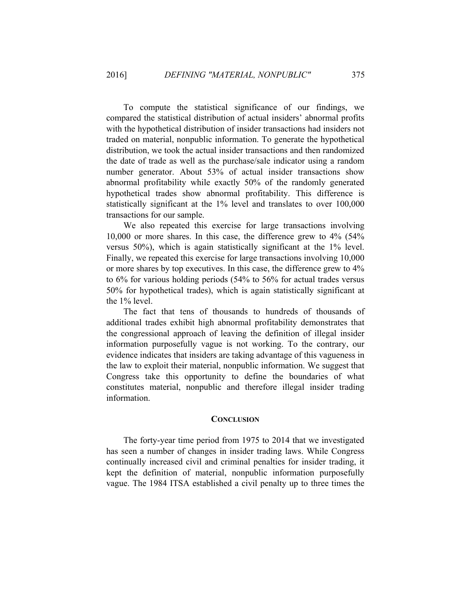To compute the statistical significance of our findings, we compared the statistical distribution of actual insiders' abnormal profits with the hypothetical distribution of insider transactions had insiders not traded on material, nonpublic information. To generate the hypothetical distribution, we took the actual insider transactions and then randomized the date of trade as well as the purchase/sale indicator using a random number generator. About 53% of actual insider transactions show abnormal profitability while exactly 50% of the randomly generated hypothetical trades show abnormal profitability. This difference is statistically significant at the 1% level and translates to over 100,000 transactions for our sample.

We also repeated this exercise for large transactions involving 10,000 or more shares. In this case, the difference grew to 4% (54% versus 50%), which is again statistically significant at the 1% level. Finally, we repeated this exercise for large transactions involving 10,000 or more shares by top executives. In this case, the difference grew to 4% to 6% for various holding periods (54% to 56% for actual trades versus 50% for hypothetical trades), which is again statistically significant at the 1% level.

The fact that tens of thousands to hundreds of thousands of additional trades exhibit high abnormal profitability demonstrates that the congressional approach of leaving the definition of illegal insider information purposefully vague is not working. To the contrary, our evidence indicates that insiders are taking advantage of this vagueness in the law to exploit their material, nonpublic information. We suggest that Congress take this opportunity to define the boundaries of what constitutes material, nonpublic and therefore illegal insider trading information.

#### **CONCLUSION**

The forty-year time period from 1975 to 2014 that we investigated has seen a number of changes in insider trading laws. While Congress continually increased civil and criminal penalties for insider trading, it kept the definition of material, nonpublic information purposefully vague. The 1984 ITSA established a civil penalty up to three times the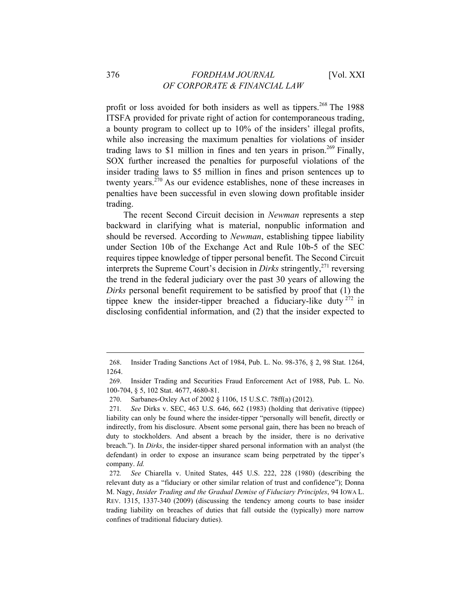profit or loss avoided for both insiders as well as tippers.<sup>268</sup> The 1988 ITSFA provided for private right of action for contemporaneous trading, a bounty program to collect up to 10% of the insiders' illegal profits, while also increasing the maximum penalties for violations of insider trading laws to \$1 million in fines and ten years in prison.<sup>269</sup> Finally, SOX further increased the penalties for purposeful violations of the insider trading laws to \$5 million in fines and prison sentences up to twenty years.270 As our evidence establishes, none of these increases in penalties have been successful in even slowing down profitable insider trading.

The recent Second Circuit decision in *Newman* represents a step backward in clarifying what is material, nonpublic information and should be reversed. According to *Newman*, establishing tippee liability under Section 10b of the Exchange Act and Rule 10b-5 of the SEC requires tippee knowledge of tipper personal benefit. The Second Circuit interprets the Supreme Court's decision in *Dirks* stringently,<sup>271</sup> reversing the trend in the federal judiciary over the past 30 years of allowing the *Dirks* personal benefit requirement to be satisfied by proof that (1) the tippee knew the insider-tipper breached a fiduciary-like duty  $272$  in disclosing confidential information, and (2) that the insider expected to

<sup>268.</sup> Insider Trading Sanctions Act of 1984, Pub. L. No. 98-376, § 2, 98 Stat. 1264, 1264.

<sup>269.</sup> Insider Trading and Securities Fraud Enforcement Act of 1988, Pub. L. No. 100-704, § 5, 102 Stat. 4677, 4680-81.

<sup>270.</sup> Sarbanes-Oxley Act of 2002 § 1106, 15 U.S.C. 78ff(a) (2012).

<sup>271</sup>*. See* Dirks v. SEC, 463 U.S. 646, 662 (1983) (holding that derivative (tippee) liability can only be found where the insider-tipper "personally will benefit, directly or indirectly, from his disclosure. Absent some personal gain, there has been no breach of duty to stockholders. And absent a breach by the insider, there is no derivative breach."). In *Dirks*, the insider-tipper shared personal information with an analyst (the defendant) in order to expose an insurance scam being perpetrated by the tipper's company. *Id.*

<sup>272</sup>*. See* Chiarella v. United States, 445 U.S. 222, 228 (1980) (describing the relevant duty as a "fiduciary or other similar relation of trust and confidence"); Donna M. Nagy, *Insider Trading and the Gradual Demise of Fiduciary Principles*, 94 IOWA L. REV. 1315, 1337-340 (2009) (discussing the tendency among courts to base insider trading liability on breaches of duties that fall outside the (typically) more narrow confines of traditional fiduciary duties).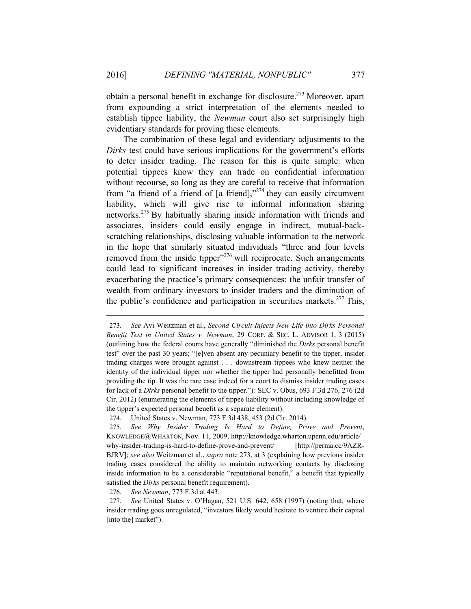obtain a personal benefit in exchange for disclosure.<sup>273</sup> Moreover, apart from expounding a strict interpretation of the elements needed to establish tippee liability, the *Newman* court also set surprisingly high evidentiary standards for proving these elements.

The combination of these legal and evidentiary adjustments to the *Dirks* test could have serious implications for the government's efforts to deter insider trading. The reason for this is quite simple: when potential tippees know they can trade on confidential information without recourse, so long as they are careful to receive that information from "a friend of a friend of  $\lceil a \rceil$  friend],  $\frac{1}{274}$  they can easily circumvent liability, which will give rise to informal information sharing networks.275 By habitually sharing inside information with friends and associates, insiders could easily engage in indirect, mutual-backscratching relationships, disclosing valuable information to the network in the hope that similarly situated individuals "three and four levels removed from the inside tipper $^{276}$  will reciprocate. Such arrangements could lead to significant increases in insider trading activity, thereby exacerbating the practice's primary consequences: the unfair transfer of wealth from ordinary investors to insider traders and the diminution of the public's confidence and participation in securities markets.<sup>277</sup> This,

276*. See Newman*, 773 F.3d at 443.

<sup>273</sup>*. See* Avi Weitzman et al., *Second Circuit Injects New Life into Dirks Personal Benefit Test in United States v. Newman*, 29 CORP. & SEC. L. ADVISOR 1, 3 (2015) (outlining how the federal courts have generally "diminished the *Dirks* personal benefit test" over the past 30 years; "[e]ven absent any pecuniary benefit to the tipper, insider trading charges were brought against . . . downstream tippees who knew neither the identity of the individual tipper nor whether the tipper had personally benefitted from providing the tip. It was the rare case indeed for a court to dismiss insider trading cases for lack of a *Dirks* personal benefit to the tipper.")*;* SEC v. Obus, 693 F.3d 276, 276 (2d Cir. 2012) (enumerating the elements of tippee liability without including knowledge of the tipper's expected personal benefit as a separate element).

<sup>274.</sup> United States v. Newman, 773 F.3d 438, 453 (2d Cir. 2014).

<sup>275</sup>*. See Why Insider Trading Is Hard to Define, Prove and Prevent*, KNOWLEDGE@WHARTON, Nov. 11, 2009, http://knowledge.wharton.upenn.edu/article/ why-insider-trading-is-hard-to-define-prove-and-prevent/ [http://perma.cc/9AZR-BJRV]; *see also* Weitzman et al., *supra* note 273, at 3 (explaining how previous insider trading cases considered the ability to maintain networking contacts by disclosing inside information to be a considerable "reputational benefit," a benefit that typically satisfied the *Dirks* personal benefit requirement).

<sup>277</sup>*. See* United States v. O'Hagan, 521 U.S. 642, 658 (1997) (noting that, where insider trading goes unregulated, "investors likely would hesitate to venture their capital [into the] market").